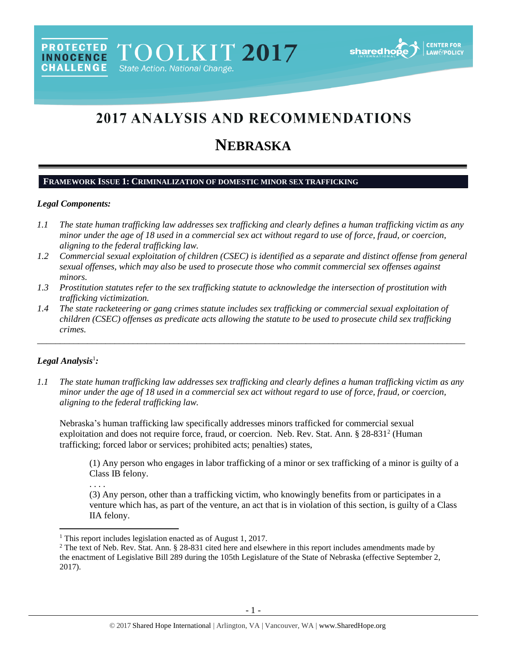# **2017 ANALYSIS AND RECOMMENDATIONS**

# **NEBRASKA**

# **FRAMEWORK ISSUE 1: CRIMINALIZATION OF DOMESTIC MINOR SEX TRAFFICKING**

## *Legal Components:*

- *1.1 The state human trafficking law addresses sex trafficking and clearly defines a human trafficking victim as any minor under the age of 18 used in a commercial sex act without regard to use of force, fraud, or coercion, aligning to the federal trafficking law.*
- *1.2 Commercial sexual exploitation of children (CSEC) is identified as a separate and distinct offense from general sexual offenses, which may also be used to prosecute those who commit commercial sex offenses against minors.*
- *1.3 Prostitution statutes refer to the sex trafficking statute to acknowledge the intersection of prostitution with trafficking victimization.*
- *1.4 The state racketeering or gang crimes statute includes sex trafficking or commercial sexual exploitation of children (CSEC) offenses as predicate acts allowing the statute to be used to prosecute child sex trafficking crimes.*

\_\_\_\_\_\_\_\_\_\_\_\_\_\_\_\_\_\_\_\_\_\_\_\_\_\_\_\_\_\_\_\_\_\_\_\_\_\_\_\_\_\_\_\_\_\_\_\_\_\_\_\_\_\_\_\_\_\_\_\_\_\_\_\_\_\_\_\_\_\_\_\_\_\_\_\_\_\_\_\_\_\_\_\_\_\_\_\_\_\_\_\_\_\_

# *Legal Analysis*<sup>1</sup> *:*

 $\overline{\phantom{a}}$ 

*1.1 The state human trafficking law addresses sex trafficking and clearly defines a human trafficking victim as any minor under the age of 18 used in a commercial sex act without regard to use of force, fraud, or coercion, aligning to the federal trafficking law.*

Nebraska's human trafficking law specifically addresses minors trafficked for commercial sexual exploitation and does not require force, fraud, or coercion. Neb. Rev. Stat. Ann. § 28-831<sup>2</sup> (Human trafficking; forced labor or services; prohibited acts; penalties) states,

<span id="page-0-0"></span>(1) Any person who engages in labor trafficking of a minor or sex trafficking of a minor is guilty of a Class IB felony.

. . . .

(3) Any person, other than a trafficking victim, who knowingly benefits from or participates in a venture which has, as part of the venture, an act that is in violation of this section, is guilty of a Class IIA felony.

<sup>&</sup>lt;sup>1</sup> This report includes legislation enacted as of August 1, 2017.

<sup>&</sup>lt;sup>2</sup> The text of Neb. Rev. Stat. Ann. § 28-831 cited here and elsewhere in this report includes amendments made by the enactment of Legislative Bill 289 during the 105th Legislature of the State of Nebraska (effective September 2, 2017).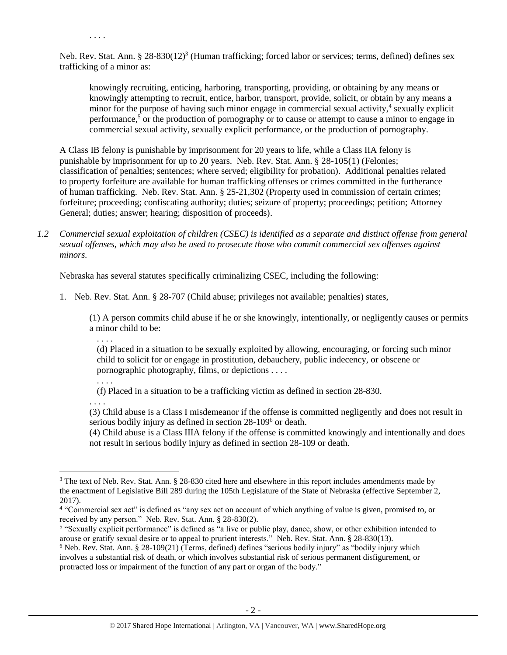Neb. Rev. Stat. Ann. § 28-830(12)<sup>3</sup> (Human trafficking; forced labor or services; terms, defined) defines sex trafficking of a minor as:

knowingly recruiting, enticing, harboring, transporting, providing, or obtaining by any means or knowingly attempting to recruit, entice, harbor, transport, provide, solicit, or obtain by any means a minor for the purpose of having such minor engage in commercial sexual activity,<sup>4</sup> sexually explicit performance,<sup>5</sup> or the production of pornography or to cause or attempt to cause a minor to engage in commercial sexual activity, sexually explicit performance, or the production of pornography.

A Class IB felony is punishable by imprisonment for 20 years to life, while a Class IIA felony is punishable by imprisonment for up to 20 years. Neb. Rev. Stat. Ann. § 28-105(1) (Felonies; classification of penalties; sentences; where served; eligibility for probation). Additional penalties related to property forfeiture are available for human trafficking offenses or crimes committed in the furtherance of human trafficking. Neb. Rev. Stat. Ann. § 25-21,302 (Property used in commission of certain crimes; forfeiture; proceeding; confiscating authority; duties; seizure of property; proceedings; petition; Attorney General; duties; answer; hearing; disposition of proceeds).

*1.2 Commercial sexual exploitation of children (CSEC) is identified as a separate and distinct offense from general sexual offenses, which may also be used to prosecute those who commit commercial sex offenses against minors.*

Nebraska has several statutes specifically criminalizing CSEC, including the following:

1. Neb. Rev. Stat. Ann. § 28-707 (Child abuse; privileges not available; penalties) states,

(1) A person commits child abuse if he or she knowingly, intentionally, or negligently causes or permits a minor child to be:

. . . .

<span id="page-1-0"></span>. . . .

(d) Placed in a situation to be sexually exploited by allowing, encouraging, or forcing such minor child to solicit for or engage in prostitution, debauchery, public indecency, or obscene or pornographic photography, films, or depictions . . . .

. . . .

 $\overline{\phantom{a}}$ 

(f) Placed in a situation to be a trafficking victim as defined in section 28-830.

. . . . (3) Child abuse is a Class I misdemeanor if the offense is committed negligently and does not result in serious bodily injury as defined in section 28-109<sup>6</sup> or death.

(4) Child abuse is a Class IIIA felony if the offense is committed knowingly and intentionally and does not result in serious bodily injury as defined in section 28-109 or death.

<sup>&</sup>lt;sup>3</sup> The text of Neb. Rev. Stat. Ann. § 28-830 cited here and elsewhere in this report includes amendments made by the enactment of Legislative Bill 289 during the 105th Legislature of the State of Nebraska (effective September 2, 2017).

<sup>4</sup> "Commercial sex act" is defined as "any sex act on account of which anything of value is given, promised to, or received by any person." Neb. Rev. Stat. Ann. § 28-830(2).

<sup>&</sup>lt;sup>5</sup> "Sexually explicit performance" is defined as "a live or public play, dance, show, or other exhibition intended to arouse or gratify sexual desire or to appeal to prurient interests." Neb. Rev. Stat. Ann. § 28-830(13).

 $6$  Neb. Rev. Stat. Ann. § 28-109(21) (Terms, defined) defines "serious bodily injury" as "bodily injury which involves a substantial risk of death, or which involves substantial risk of serious permanent disfigurement, or protracted loss or impairment of the function of any part or organ of the body."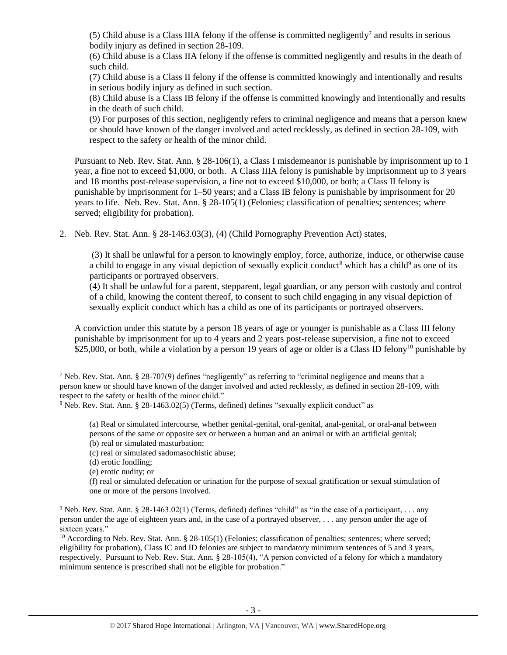(5) Child abuse is a Class IIIA felony if the offense is committed negligently<sup>7</sup> and results in serious bodily injury as defined in section 28-109.

(6) Child abuse is a Class IIA felony if the offense is committed negligently and results in the death of such child.

(7) Child abuse is a Class II felony if the offense is committed knowingly and intentionally and results in serious bodily injury as defined in such section.

(8) Child abuse is a Class IB felony if the offense is committed knowingly and intentionally and results in the death of such child.

(9) For purposes of this section, negligently refers to criminal negligence and means that a person knew or should have known of the danger involved and acted recklessly, as defined in section 28-109, with respect to the safety or health of the minor child.

Pursuant to Neb. Rev. Stat. Ann. § 28-106(1), a Class I misdemeanor is punishable by imprisonment up to 1 year, a fine not to exceed \$1,000, or both. A Class IIIA felony is punishable by imprisonment up to 3 years and 18 months post-release supervision, a fine not to exceed \$10,000, or both; a Class II felony is punishable by imprisonment for 1–50 years; and a Class IB felony is punishable by imprisonment for 20 years to life. Neb. Rev. Stat. Ann. § 28-105(1) (Felonies; classification of penalties; sentences; where served; eligibility for probation).

2. Neb. Rev. Stat. Ann. § 28-1463.03(3), (4) (Child Pornography Prevention Act) states,

<span id="page-2-2"></span><span id="page-2-1"></span>(3) It shall be unlawful for a person to knowingly employ, force, authorize, induce, or otherwise cause a child to engage in any visual depiction of sexually explicit conduct<sup>8</sup> which has a child<sup>9</sup> as one of its participants or portrayed observers.

<span id="page-2-0"></span>(4) It shall be unlawful for a parent, stepparent, legal guardian, or any person with custody and control of a child, knowing the content thereof, to consent to such child engaging in any visual depiction of sexually explicit conduct which has a child as one of its participants or portrayed observers.

A conviction under this statute by a person 18 years of age or younger is punishable as a Class III felony punishable by imprisonment for up to 4 years and 2 years post-release supervision, a fine not to exceed \$25,000, or both, while a violation by a person 19 years of age or older is a Class ID felony<sup>10</sup> punishable by

- 
- (c) real or simulated sadomasochistic abuse;
- (d) erotic fondling;

 $\overline{\phantom{a}}$ 

(e) erotic nudity; or

<sup>7</sup> Neb. Rev. Stat. Ann. § 28-707(9) defines "negligently" as referring to "criminal negligence and means that a person knew or should have known of the danger involved and acted recklessly, as defined in section 28-109, with respect to the safety or health of the minor child."

<sup>8</sup> Neb. Rev. Stat. Ann. § 28-1463.02(5) (Terms, defined) defines "sexually explicit conduct" as

<sup>(</sup>a) Real or simulated intercourse, whether genital-genital, oral-genital, anal-genital, or oral-anal between persons of the same or opposite sex or between a human and an animal or with an artificial genital; (b) real or simulated masturbation;

<sup>(</sup>f) real or simulated defecation or urination for the purpose of sexual gratification or sexual stimulation of one or more of the persons involved.

<sup>&</sup>lt;sup>9</sup> Neb. Rev. Stat. Ann. § 28-1463.02(1) (Terms, defined) defines "child" as "in the case of a participant, . . . any person under the age of eighteen years and, in the case of a portrayed observer, . . . any person under the age of sixteen years."

 $10$  According to Neb. Rev. Stat. Ann. § 28-105(1) (Felonies; classification of penalties; sentences; where served; eligibility for probation), Class IC and ID felonies are subject to mandatory minimum sentences of 5 and 3 years, respectively. Pursuant to Neb. Rev. Stat. Ann. § 28-105(4), "A person convicted of a felony for which a mandatory minimum sentence is prescribed shall not be eligible for probation."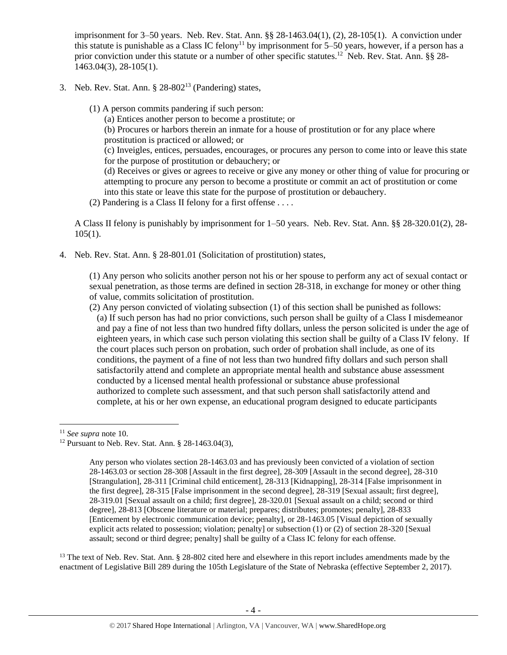imprisonment for 3–50 years. Neb. Rev. Stat. Ann. §§ 28-1463.04(1), (2), 28-105(1). A conviction under this statute is punishable as a Class IC felony<sup>11</sup> by imprisonment for 5–50 years, however, if a person has a prior conviction under this statute or a number of other specific statutes.<sup>12</sup> Neb. Rev. Stat. Ann. §§ 28-1463.04(3), 28-105(1).

- 3. Neb. Rev. Stat. Ann.  $\S 28-802<sup>13</sup>$  (Pandering) states,
	- (1) A person commits pandering if such person:
		- (a) Entices another person to become a prostitute; or

<span id="page-3-0"></span>(b) Procures or harbors therein an inmate for a house of prostitution or for any place where prostitution is practiced or allowed; or

(c) Inveigles, entices, persuades, encourages, or procures any person to come into or leave this state for the purpose of prostitution or debauchery; or

(d) Receives or gives or agrees to receive or give any money or other thing of value for procuring or attempting to procure any person to become a prostitute or commit an act of prostitution or come into this state or leave this state for the purpose of prostitution or debauchery.

(2) Pandering is a Class II felony for a first offense . . . .

A Class II felony is punishably by imprisonment for 1–50 years. Neb. Rev. Stat. Ann. §§ 28-320.01(2), 28-  $105(1)$ .

4. Neb. Rev. Stat. Ann. § 28-801.01 (Solicitation of prostitution) states,

(1) Any person who solicits another person not his or her spouse to perform any act of sexual contact or sexual penetration, as those terms are defined in section 28-318, in exchange for money or other thing of value, commits solicitation of prostitution.

(2) Any person convicted of violating subsection (1) of this section shall be punished as follows: (a) If such person has had no prior convictions, such person shall be guilty of a Class I misdemeanor and pay a fine of not less than two hundred fifty dollars, unless the person solicited is under the age of eighteen years, in which case such person violating this section shall be guilty of a Class IV felony. If the court places such person on probation, such order of probation shall include, as one of its conditions, the payment of a fine of not less than two hundred fifty dollars and such person shall satisfactorily attend and complete an appropriate mental health and substance abuse assessment conducted by a licensed mental health professional or substance abuse professional authorized to complete such assessment, and that such person shall satisfactorily attend and complete, at his or her own expense, an educational program designed to educate participants

 $\overline{\phantom{a}}$ 

 $13$  The text of Neb. Rev. Stat. Ann. § 28-802 cited here and elsewhere in this report includes amendments made by the enactment of Legislative Bill 289 during the 105th Legislature of the State of Nebraska (effective September 2, 2017).

<sup>11</sup> *See supra* note [10.](#page-2-0) 

<sup>&</sup>lt;sup>12</sup> Pursuant to Neb. Rev. Stat. Ann. § 28-1463.04(3),

Any person who violates section 28-1463.03 and has previously been convicted of a violation of section 28-1463.03 or section 28-308 [Assault in the first degree], 28-309 [Assault in the second degree], 28-310 [Strangulation], 28-311 [Criminal child enticement], 28-313 [Kidnapping], 28-314 [False imprisonment in the first degree], 28-315 [False imprisonment in the second degree], 28-319 [Sexual assault; first degree], 28-319.01 [Sexual assault on a child; first degree], 28-320.01 [Sexual assault on a child; second or third degree], 28-813 [Obscene literature or material; prepares; distributes; promotes; penalty], 28-833 [Enticement by electronic communication device; penalty], or 28-1463.05 [Visual depiction of sexually explicit acts related to possession; violation; penalty] or subsection (1) or (2) of section 28-320 [Sexual assault; second or third degree; penalty] shall be guilty of a Class IC felony for each offense.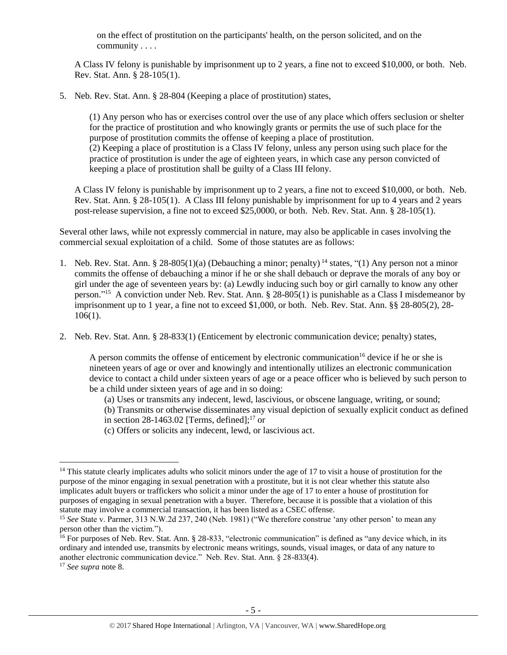on the effect of prostitution on the participants' health, on the person solicited, and on the community . . . .

A Class IV felony is punishable by imprisonment up to 2 years, a fine not to exceed \$10,000, or both. Neb. Rev. Stat. Ann. § 28-105(1).

5. Neb. Rev. Stat. Ann. § 28-804 (Keeping a place of prostitution) states,

(1) Any person who has or exercises control over the use of any place which offers seclusion or shelter for the practice of prostitution and who knowingly grants or permits the use of such place for the purpose of prostitution commits the offense of keeping a place of prostitution. (2) Keeping a place of prostitution is a Class IV felony, unless any person using such place for the practice of prostitution is under the age of eighteen years, in which case any person convicted of keeping a place of prostitution shall be guilty of a Class III felony.

A Class IV felony is punishable by imprisonment up to 2 years, a fine not to exceed \$10,000, or both. Neb. Rev. Stat. Ann. § 28-105(1). A Class III felony punishable by imprisonment for up to 4 years and 2 years post-release supervision, a fine not to exceed \$25,0000, or both. Neb. Rev. Stat. Ann. § 28-105(1).

Several other laws, while not expressly commercial in nature, may also be applicable in cases involving the commercial sexual exploitation of a child. Some of those statutes are as follows:

- 1. Neb. Rev. Stat. Ann. § 28-805(1)(a) (Debauching a minor; penalty) <sup>14</sup> states, "(1) Any person not a minor commits the offense of debauching a minor if he or she shall debauch or deprave the morals of any boy or girl under the age of seventeen years by: (a) Lewdly inducing such boy or girl carnally to know any other person."<sup>15</sup> A conviction under Neb. Rev. Stat. Ann. § 28-805(1) is punishable as a Class I misdemeanor by imprisonment up to 1 year, a fine not to exceed \$1,000, or both. Neb. Rev. Stat. Ann. §§ 28-805(2), 28- 106(1).
- 2. Neb. Rev. Stat. Ann. § 28-833(1) (Enticement by electronic communication device; penalty) states,

<span id="page-4-0"></span>A person commits the offense of enticement by electronic communication<sup>16</sup> device if he or she is nineteen years of age or over and knowingly and intentionally utilizes an electronic communication device to contact a child under sixteen years of age or a peace officer who is believed by such person to be a child under sixteen years of age and in so doing:

(a) Uses or transmits any indecent, lewd, lascivious, or obscene language, writing, or sound;

(b) Transmits or otherwise disseminates any visual depiction of sexually explicit conduct as defined

- in section  $28-1463.02$  [Terms, defined];<sup>17</sup> or
- (c) Offers or solicits any indecent, lewd, or lascivious act.

 $\overline{\phantom{a}}$ 

 $14$  This statute clearly implicates adults who solicit minors under the age of 17 to visit a house of prostitution for the purpose of the minor engaging in sexual penetration with a prostitute, but it is not clear whether this statute also implicates adult buyers or traffickers who solicit a minor under the age of 17 to enter a house of prostitution for purposes of engaging in sexual penetration with a buyer. Therefore, because it is possible that a violation of this statute may involve a commercial transaction, it has been listed as a CSEC offense.

<sup>15</sup> *See* State v. Parmer, 313 N.W.2d 237, 240 (Neb. 1981) ("We therefore construe 'any other person' to mean any person other than the victim.").

<sup>&</sup>lt;sup>16</sup> For purposes of Neb. Rev. Stat. Ann. § 28-833, "electronic communication" is defined as "any device which, in its ordinary and intended use, transmits by electronic means writings, sounds, visual images, or data of any nature to another electronic communication device." Neb. Rev. Stat. Ann. § 28-833(4).

<sup>17</sup> *See supra* note [8.](#page-2-1)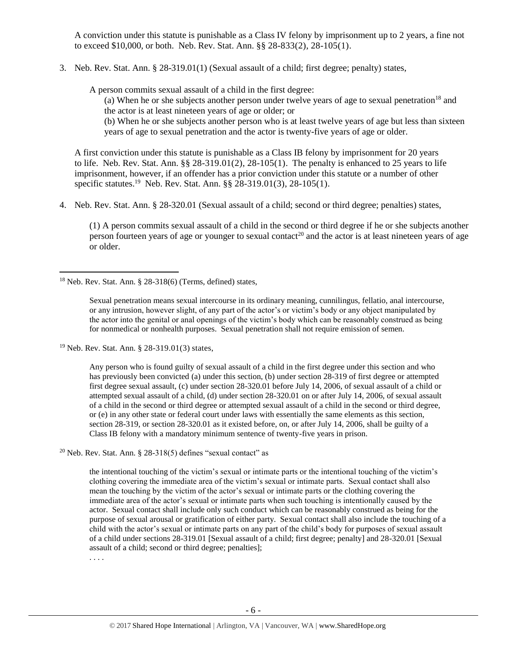A conviction under this statute is punishable as a Class IV felony by imprisonment up to 2 years, a fine not to exceed \$10,000, or both. Neb. Rev. Stat. Ann. §§ 28-833(2), 28-105(1).

3. Neb. Rev. Stat. Ann. § 28-319.01(1) (Sexual assault of a child; first degree; penalty) states,

A person commits sexual assault of a child in the first degree:

(a) When he or she subjects another person under twelve years of age to sexual penetration<sup>18</sup> and the actor is at least nineteen years of age or older; or

(b) When he or she subjects another person who is at least twelve years of age but less than sixteen years of age to sexual penetration and the actor is twenty-five years of age or older.

A first conviction under this statute is punishable as a Class IB felony by imprisonment for 20 years to life. Neb. Rev. Stat. Ann.  $\S$   $\S$   $28-319.01(2)$ ,  $28-105(1)$ . The penalty is enhanced to 25 years to life imprisonment, however, if an offender has a prior conviction under this statute or a number of other specific statutes.<sup>19</sup> Neb. Rev. Stat. Ann. §§ 28-319.01(3), 28-105(1).

4. Neb. Rev. Stat. Ann. § 28-320.01 (Sexual assault of a child; second or third degree; penalties) states,

(1) A person commits sexual assault of a child in the second or third degree if he or she subjects another person fourteen years of age or younger to sexual contact<sup>20</sup> and the actor is at least nineteen years of age or older.

<sup>19</sup> Neb. Rev. Stat. Ann. § 28-319.01(3) states,

 $\overline{a}$ 

Any person who is found guilty of sexual assault of a child in the first degree under this section and who has previously been convicted (a) under this section, (b) under section 28-319 of first degree or attempted first degree sexual assault, (c) under section 28-320.01 before July 14, 2006, of sexual assault of a child or attempted sexual assault of a child, (d) under section 28-320.01 on or after July 14, 2006, of sexual assault of a child in the second or third degree or attempted sexual assault of a child in the second or third degree, or (e) in any other state or federal court under laws with essentially the same elements as this section, section 28-319, or section 28-320.01 as it existed before, on, or after July 14, 2006, shall be guilty of a Class IB felony with a mandatory minimum sentence of twenty-five years in prison.

<sup>20</sup> Neb. Rev. Stat. Ann. § 28-318(5) defines "sexual contact" as

the intentional touching of the victim's sexual or intimate parts or the intentional touching of the victim's clothing covering the immediate area of the victim's sexual or intimate parts. Sexual contact shall also mean the touching by the victim of the actor's sexual or intimate parts or the clothing covering the immediate area of the actor's sexual or intimate parts when such touching is intentionally caused by the actor. Sexual contact shall include only such conduct which can be reasonably construed as being for the purpose of sexual arousal or gratification of either party. Sexual contact shall also include the touching of a child with the actor's sexual or intimate parts on any part of the child's body for purposes of sexual assault of a child under sections 28-319.01 [Sexual assault of a child; first degree; penalty] and 28-320.01 [Sexual assault of a child; second or third degree; penalties];

. . . .

 $18$  Neb. Rev. Stat. Ann. § 28-318(6) (Terms, defined) states,

Sexual penetration means sexual intercourse in its ordinary meaning, cunnilingus, fellatio, anal intercourse, or any intrusion, however slight, of any part of the actor's or victim's body or any object manipulated by the actor into the genital or anal openings of the victim's body which can be reasonably construed as being for nonmedical or nonhealth purposes. Sexual penetration shall not require emission of semen.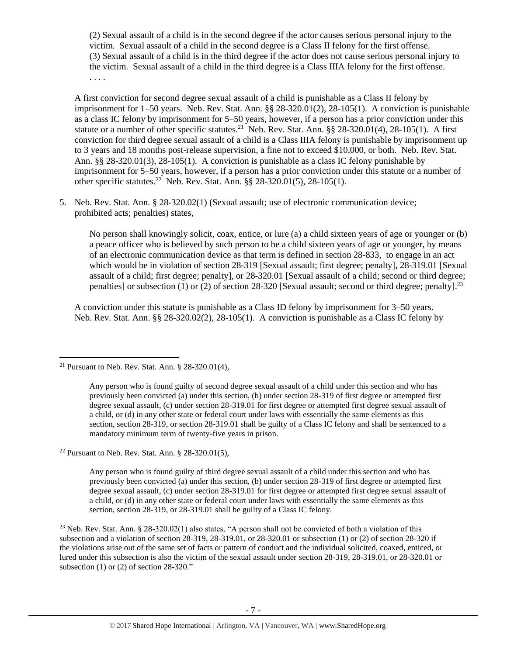(2) Sexual assault of a child is in the second degree if the actor causes serious personal injury to the victim. Sexual assault of a child in the second degree is a Class II felony for the first offense. (3) Sexual assault of a child is in the third degree if the actor does not cause serious personal injury to the victim. Sexual assault of a child in the third degree is a Class IIIA felony for the first offense. . . . .

A first conviction for second degree sexual assault of a child is punishable as a Class II felony by imprisonment for 1–50 years. Neb. Rev. Stat. Ann. §§ 28-320.01(2), 28-105(1). A conviction is punishable as a class IC felony by imprisonment for 5–50 years, however, if a person has a prior conviction under this statute or a number of other specific statutes.<sup>21</sup> Neb. Rev. Stat. Ann. §§ 28-320.01(4), 28-105(1). A first conviction for third degree sexual assault of a child is a Class IIIA felony is punishable by imprisonment up to 3 years and 18 months post-release supervision, a fine not to exceed \$10,000, or both. Neb. Rev. Stat. Ann. §§ 28-320.01(3), 28-105(1). A conviction is punishable as a class IC felony punishable by imprisonment for 5–50 years, however, if a person has a prior conviction under this statute or a number of other specific statutes. <sup>22</sup> Neb. Rev. Stat. Ann. §§ 28-320.01(5), 28-105(1).

5. Neb. Rev. Stat. Ann. § 28-320.02(1) (Sexual assault; use of electronic communication device; prohibited acts; penalties) states,

No person shall knowingly solicit, coax, entice, or lure (a) a child sixteen years of age or younger or (b) a peace officer who is believed by such person to be a child sixteen years of age or younger, by means of an electronic communication device as that term is defined in section 28-833, to engage in an act which would be in violation of section [28-319](http://nebraskalegislature.gov/laws/statutes.php?statute=28-319) [Sexual assault; first degree; penalty], [28-319.01](http://nebraskalegislature.gov/laws/statutes.php?statute=28-319.01) [Sexual assault of a child; first degree; penalty], or [28-320.01](http://nebraskalegislature.gov/laws/statutes.php?statute=28-320.01) [Sexual assault of a child; second or third degree; penalties] or subsection (1) or (2) of section [28-320](http://nebraskalegislature.gov/laws/statutes.php?statute=28-320) [Sexual assault; second or third degree; penalty].<sup>23</sup>

A conviction under this statute is punishable as a Class ID felony by imprisonment for 3–50 years. Neb. Rev. Stat. Ann. §§ 28-320.02(2), 28-105(1). A conviction is punishable as a Class IC felony by

 $\overline{\phantom{a}}$ 

<sup>22</sup> Pursuant to Neb. Rev. Stat. Ann. § 28-320.01(5),

Any person who is found guilty of third degree sexual assault of a child under this section and who has previously been convicted (a) under this section, (b) under section 28-319 of first degree or attempted first degree sexual assault, (c) under section 28-319.01 for first degree or attempted first degree sexual assault of a child, or (d) in any other state or federal court under laws with essentially the same elements as this section, section 28-319, or 28-319.01 shall be guilty of a Class IC felony.

<sup>23</sup> Neb. Rev. Stat. Ann. § 28-320.02(1) also states, "A person shall not be convicted of both a violation of this subsection and a violation of section 28-319, 28-319.01, or 28-320.01 or subsection (1) or (2) of section 28-320 if the violations arise out of the same set of facts or pattern of conduct and the individual solicited, coaxed, enticed, or lured under this subsection is also the victim of the sexual assault under section 28-319, 28-319.01, or 28-320.01 or subsection  $(1)$  or  $(2)$  of section 28-320."

<sup>&</sup>lt;sup>21</sup> Pursuant to Neb. Rev. Stat. Ann. § 28-320.01(4),

Any person who is found guilty of second degree sexual assault of a child under this section and who has previously been convicted (a) under this section, (b) under section 28-319 of first degree or attempted first degree sexual assault, (c) under section 28-319.01 for first degree or attempted first degree sexual assault of a child, or (d) in any other state or federal court under laws with essentially the same elements as this section, section 28-319, or section 28-319.01 shall be guilty of a Class IC felony and shall be sentenced to a mandatory minimum term of twenty-five years in prison.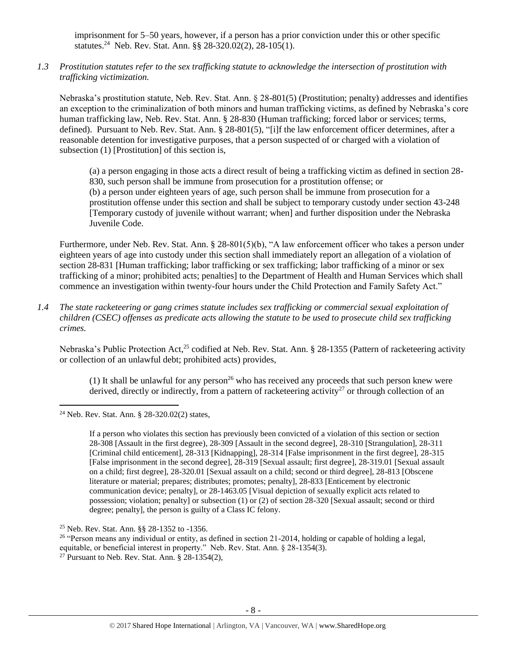imprisonment for 5–50 years, however, if a person has a prior conviction under this or other specific statutes.<sup>24</sup> Neb. Rev. Stat. Ann. §§ 28-320.02(2), 28-105(1).

*1.3 Prostitution statutes refer to the sex trafficking statute to acknowledge the intersection of prostitution with trafficking victimization.* 

Nebraska's prostitution statute, Neb. Rev. Stat. Ann. § 28-801(5) (Prostitution; penalty) addresses and identifies an exception to the criminalization of both minors and human trafficking victims, as defined by Nebraska's core human trafficking law, Neb. Rev. Stat. Ann. § 28-830 (Human trafficking; forced labor or services; terms, defined). Pursuant to Neb. Rev. Stat. Ann. § 28-801(5), "[i]f the law enforcement officer determines, after a reasonable detention for investigative purposes, that a person suspected of or charged with a violation of subsection (1) [Prostitution] of this section is,

(a) a person engaging in those acts a direct result of being a trafficking victim as defined in section 28- 830, such person shall be immune from prosecution for a prostitution offense; or (b) a person under eighteen years of age, such person shall be immune from prosecution for a prostitution offense under this section and shall be subject to temporary custody under section 43-248 [Temporary custody of juvenile without warrant; when] and further disposition under the Nebraska Juvenile Code.

Furthermore, under Neb. Rev. Stat. Ann. § 28-801(5)(b), "A law enforcement officer who takes a person under eighteen years of age into custody under this section shall immediately report an allegation of a violation of section 28-831 [Human trafficking; labor trafficking or sex trafficking; labor trafficking of a minor or sex trafficking of a minor; prohibited acts; penalties] to the Department of Health and Human Services which shall commence an investigation within twenty-four hours under the Child Protection and Family Safety Act."

*1.4 The state racketeering or gang crimes statute includes sex trafficking or commercial sexual exploitation of children (CSEC) offenses as predicate acts allowing the statute to be used to prosecute child sex trafficking crimes.* 

Nebraska's Public Protection Act,<sup>25</sup> codified at Neb. Rev. Stat. Ann. § 28-1355 (Pattern of racketeering activity or collection of an unlawful debt; prohibited acts) provides,

(1) It shall be unlawful for any person<sup>26</sup> who has received any proceeds that such person knew were derived, directly or indirectly, from a pattern of racketeering activity<sup>27</sup> or through collection of an

 $\overline{\phantom{a}}$ 

If a person who violates this section has previously been convicted of a violation of this section or section 28-308 [Assault in the first degree), 28-309 [Assault in the second degree], 28-310 [Strangulation], 28-311 [Criminal child enticement], 28-313 [Kidnapping], 28-314 [False imprisonment in the first degree], 28-315 [False imprisonment in the second degree], 28-319 [Sexual assault; first degree], 28-319.01 [Sexual assault on a child; first degree], 28-320.01 [Sexual assault on a child; second or third degree], 28-813 [Obscene literature or material; prepares; distributes; promotes; penalty], 28-833 [Enticement by electronic communication device; penalty], or 28-1463.05 [Visual depiction of sexually explicit acts related to possession; violation; penalty] or subsection (1) or (2) of section 28-320 [Sexual assault; second or third degree; penalty], the person is guilty of a Class IC felony.

<sup>26</sup> "Person means any individual or entity, as defined in section  $21$ -2014, holding or capable of holding a legal, equitable, or beneficial interest in property." Neb. Rev. Stat. Ann. § 28-1354(3).

<sup>24</sup> Neb. Rev. Stat. Ann. § 28-320.02(2) states,

<sup>25</sup> Neb. Rev. Stat. Ann. §§ 28-1352 to -1356.

<sup>&</sup>lt;sup>27</sup> Pursuant to Neb. Rev. Stat. Ann.  $\S$  28-1354(2),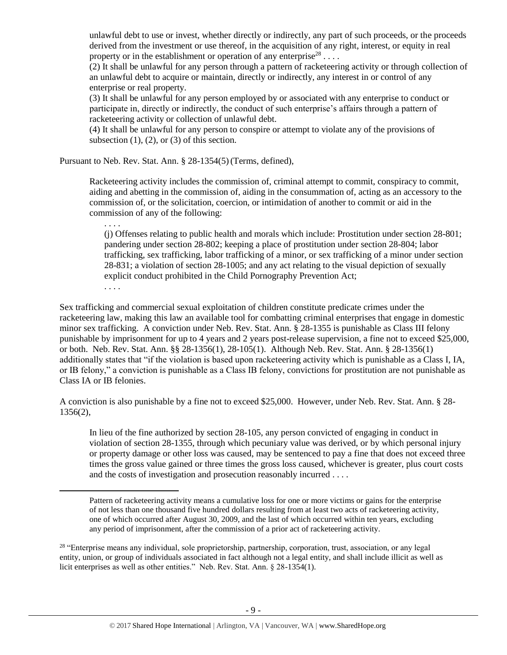unlawful debt to use or invest, whether directly or indirectly, any part of such proceeds, or the proceeds derived from the investment or use thereof, in the acquisition of any right, interest, or equity in real property or in the establishment or operation of any enterprise<sup>28</sup>...

 $(2)$  It shall be unlawful for any person through a pattern of racketeering activity or through collection of an unlawful debt to acquire or maintain, directly or indirectly, any interest in or control of any enterprise or real property.

(3) It shall be unlawful for any person employed by or associated with any enterprise to conduct or participate in, directly or indirectly, the conduct of such enterprise's affairs through a pattern of racketeering activity or collection of unlawful debt.

(4) It shall be unlawful for any person to conspire or attempt to violate any of the provisions of subsection  $(1)$ ,  $(2)$ , or  $(3)$  of this section.

Pursuant to Neb. Rev. Stat. Ann. § 28-1354(5)(Terms, defined),

. . . .

l

Racketeering activity includes the commission of, criminal attempt to commit, conspiracy to commit, aiding and abetting in the commission of, aiding in the consummation of, acting as an accessory to the commission of, or the solicitation, coercion, or intimidation of another to commit or aid in the commission of any of the following:

(j) Offenses relating to public health and morals which include: Prostitution under section 28-801; pandering under section 28-802; keeping a place of prostitution under section 28-804; labor trafficking, sex trafficking, labor trafficking of a minor, or sex trafficking of a minor under section 28-831; a violation of section 28-1005; and any act relating to the visual depiction of sexually explicit conduct prohibited in the Child Pornography Prevention Act; . . . .

Sex trafficking and commercial sexual exploitation of children constitute predicate crimes under the racketeering law, making this law an available tool for combatting criminal enterprises that engage in domestic minor sex trafficking. A conviction under Neb. Rev. Stat. Ann. § 28-1355 is punishable as Class III felony punishable by imprisonment for up to 4 years and 2 years post-release supervision, a fine not to exceed \$25,000, or both. Neb. Rev. Stat. Ann. §§ 28-1356(1), 28-105(1). Although Neb. Rev. Stat. Ann. § 28-1356(1) additionally states that "if the violation is based upon racketeering activity which is punishable as a Class I, IA, or IB felony," a conviction is punishable as a Class IB felony, convictions for prostitution are not punishable as Class IA or IB felonies.

A conviction is also punishable by a fine not to exceed \$25,000. However, under Neb. Rev. Stat. Ann. § 28- 1356(2),

In lieu of the fine authorized by section 28-105, any person convicted of engaging in conduct in violation of section 28-1355, through which pecuniary value was derived, or by which personal injury or property damage or other loss was caused, may be sentenced to pay a fine that does not exceed three times the gross value gained or three times the gross loss caused, whichever is greater, plus court costs and the costs of investigation and prosecution reasonably incurred . . . .

Pattern of racketeering activity means a cumulative loss for one or more victims or gains for the enterprise of not less than one thousand five hundred dollars resulting from at least two acts of racketeering activity, one of which occurred after August 30, 2009, and the last of which occurred within ten years, excluding any period of imprisonment, after the commission of a prior act of racketeering activity.

<sup>&</sup>lt;sup>28</sup> "Enterprise means any individual, sole proprietorship, partnership, corporation, trust, association, or any legal entity, union, or group of individuals associated in fact although not a legal entity, and shall include illicit as well as licit enterprises as well as other entities." Neb. Rev. Stat. Ann. § 28-1354(1).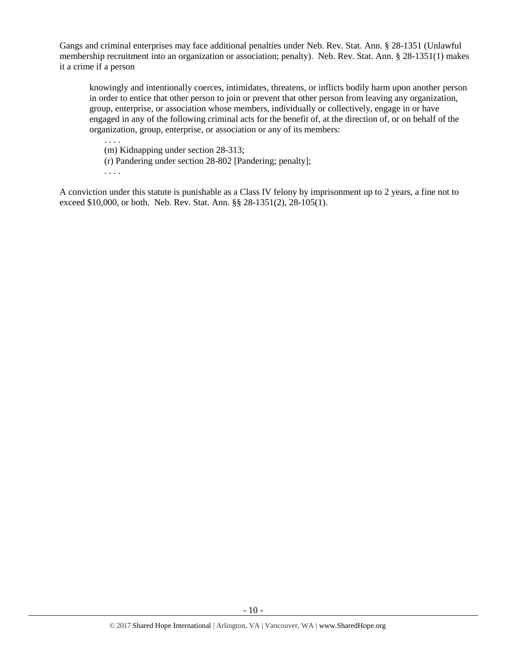Gangs and criminal enterprises may face additional penalties under Neb. Rev. Stat. Ann. § 28-1351 (Unlawful membership recruitment into an organization or association; penalty). Neb. Rev. Stat. Ann. § 28-1351(1) makes it a crime if a person

knowingly and intentionally coerces, intimidates, threatens, or inflicts bodily harm upon another person in order to entice that other person to join or prevent that other person from leaving any organization, group, enterprise, or association whose members, individually or collectively, engage in or have engaged in any of the following criminal acts for the benefit of, at the direction of, or on behalf of the organization, group, enterprise, or association or any of its members:

(m) Kidnapping under section 28-313;

(r) Pandering under section 28-802 [Pandering; penalty];

. . . .

. . . .

A conviction under this statute is punishable as a Class IV felony by imprisonment up to 2 years, a fine not to exceed \$10,000, or both. Neb. Rev. Stat. Ann. §§ 28-1351(2), 28-105(1).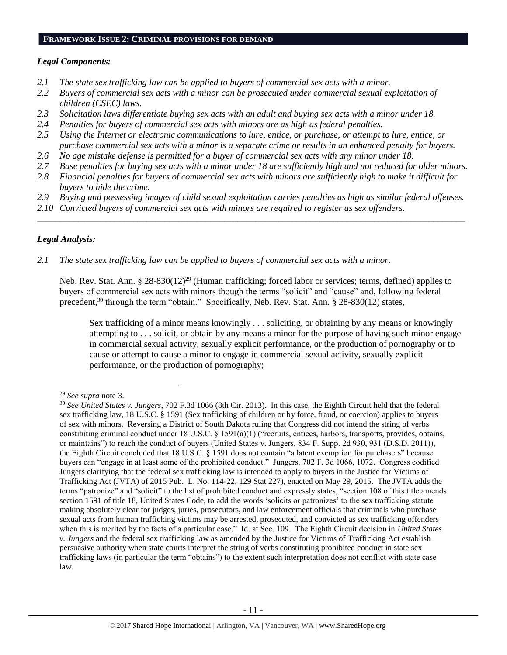#### **FRAMEWORK ISSUE 2: CRIMINAL PROVISIONS FOR DEMAND**

## *Legal Components:*

- *2.1 The state sex trafficking law can be applied to buyers of commercial sex acts with a minor.*
- *2.2 Buyers of commercial sex acts with a minor can be prosecuted under commercial sexual exploitation of children (CSEC) laws.*
- *2.3 Solicitation laws differentiate buying sex acts with an adult and buying sex acts with a minor under 18.*
- *2.4 Penalties for buyers of commercial sex acts with minors are as high as federal penalties.*
- *2.5 Using the Internet or electronic communications to lure, entice, or purchase, or attempt to lure, entice, or purchase commercial sex acts with a minor is a separate crime or results in an enhanced penalty for buyers.*
- *2.6 No age mistake defense is permitted for a buyer of commercial sex acts with any minor under 18.*
- *2.7 Base penalties for buying sex acts with a minor under 18 are sufficiently high and not reduced for older minors.*
- *2.8 Financial penalties for buyers of commercial sex acts with minors are sufficiently high to make it difficult for buyers to hide the crime.*
- *2.9 Buying and possessing images of child sexual exploitation carries penalties as high as similar federal offenses.*

\_\_\_\_\_\_\_\_\_\_\_\_\_\_\_\_\_\_\_\_\_\_\_\_\_\_\_\_\_\_\_\_\_\_\_\_\_\_\_\_\_\_\_\_\_\_\_\_\_\_\_\_\_\_\_\_\_\_\_\_\_\_\_\_\_\_\_\_\_\_\_\_\_\_\_\_\_\_\_\_\_\_\_\_\_\_\_\_\_\_\_\_\_\_

*2.10 Convicted buyers of commercial sex acts with minors are required to register as sex offenders.* 

# *Legal Analysis:*

*2.1 The state sex trafficking law can be applied to buyers of commercial sex acts with a minor.*

Neb. Rev. Stat. Ann. § 28-830(12)<sup>29</sup> (Human trafficking; forced labor or services; terms, defined) applies to buyers of commercial sex acts with minors though the terms "solicit" and "cause" and, following federal precedent,<sup>30</sup> through the term "obtain." Specifically, Neb. Rev. Stat. Ann. § 28-830(12) states,

Sex trafficking of a minor means knowingly . . . soliciting, or obtaining by any means or knowingly attempting to . . . solicit, or obtain by any means a minor for the purpose of having such minor engage in commercial sexual activity, sexually explicit performance, or the production of pornography or to cause or attempt to cause a minor to engage in commercial sexual activity, sexually explicit performance, or the production of pornography;

 $\overline{a}$ 

<sup>29</sup> *See supra* note [3.](#page-1-0)

<sup>30</sup> *See United States v. Jungers*, 702 F.3d 1066 (8th Cir. 2013). In this case, the Eighth Circuit held that the federal sex trafficking law, 18 U.S.C. § 1591 (Sex trafficking of children or by force, fraud, or coercion) applies to buyers of sex with minors. Reversing a District of South Dakota ruling that Congress did not intend the string of verbs constituting criminal conduct under 18 U.S.C. § 1591(a)(1) ("recruits, entices, harbors, transports, provides, obtains, or maintains") to reach the conduct of buyers (United States v. Jungers, 834 F. Supp. 2d 930, 931 (D.S.D. 2011)), the Eighth Circuit concluded that 18 U.S.C. § 1591 does not contain "a latent exemption for purchasers" because buyers can "engage in at least some of the prohibited conduct." Jungers, 702 F. 3d 1066, 1072. Congress codified Jungers clarifying that the federal sex trafficking law is intended to apply to buyers in the Justice for Victims of Trafficking Act (JVTA) of 2015 Pub. L. No. 114-22, 129 Stat 227), enacted on May 29, 2015. The JVTA adds the terms "patronize" and "solicit" to the list of prohibited conduct and expressly states, "section 108 of this title amends section 1591 of title 18, United States Code, to add the words 'solicits or patronizes' to the sex trafficking statute making absolutely clear for judges, juries, prosecutors, and law enforcement officials that criminals who purchase sexual acts from human trafficking victims may be arrested, prosecuted, and convicted as sex trafficking offenders when this is merited by the facts of a particular case." Id. at Sec. 109. The Eighth Circuit decision in *United States v. Jungers* and the federal sex trafficking law as amended by the Justice for Victims of Trafficking Act establish persuasive authority when state courts interpret the string of verbs constituting prohibited conduct in state sex trafficking laws (in particular the term "obtains") to the extent such interpretation does not conflict with state case law.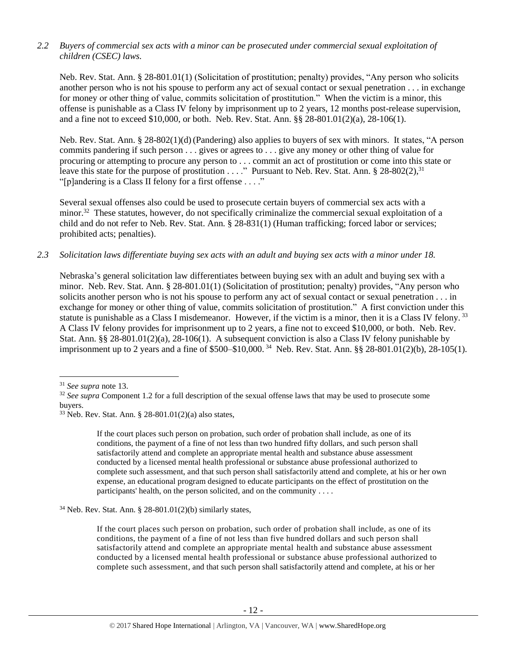# *2.2 Buyers of commercial sex acts with a minor can be prosecuted under commercial sexual exploitation of children (CSEC) laws.*

Neb. Rev. Stat. Ann. § 28-801.01(1) (Solicitation of prostitution; penalty) provides, "Any person who solicits another person who is not his spouse to perform any act of sexual contact or sexual penetration . . . in exchange for money or other thing of value, commits solicitation of prostitution." When the victim is a minor, this offense is punishable as a Class IV felony by imprisonment up to 2 years, 12 months post-release supervision, and a fine not to exceed \$10,000, or both. Neb. Rev. Stat. Ann. §§ 28-801.01(2)(a), 28-106(1).

Neb. Rev. Stat. Ann. § 28-802(1)(d) (Pandering) also applies to buyers of sex with minors. It states, "A person commits pandering if such person . . . gives or agrees to . . . give any money or other thing of value for procuring or attempting to procure any person to . . . commit an act of prostitution or come into this state or leave this state for the purpose of prostitution . . . ." Pursuant to Neb. Rev. Stat. Ann.  $\S 28-802(2)$ ,  $\S 31$ "[p]andering is a Class II felony for a first offense . . . ."

Several sexual offenses also could be used to prosecute certain buyers of commercial sex acts with a minor.<sup>32</sup> These statutes, however, do not specifically criminalize the commercial sexual exploitation of a child and do not refer to Neb. Rev. Stat. Ann. § 28-831(1) (Human trafficking; forced labor or services; prohibited acts; penalties).

# *2.3 Solicitation laws differentiate buying sex acts with an adult and buying sex acts with a minor under 18.*

Nebraska's general solicitation law differentiates between buying sex with an adult and buying sex with a minor. Neb. Rev. Stat. Ann. § 28-801.01(1) (Solicitation of prostitution; penalty) provides, "Any person who solicits another person who is not his spouse to perform any act of sexual contact or sexual penetration . . . in exchange for money or other thing of value, commits solicitation of prostitution." A first conviction under this statute is punishable as a Class I misdemeanor. However, if the victim is a minor, then it is a Class IV felony.<sup>33</sup> A Class IV felony provides for imprisonment up to 2 years, a fine not to exceed \$10,000, or both. Neb. Rev. Stat. Ann. §§ 28-801.01(2)(a), 28-106(1). A subsequent conviction is also a Class IV felony punishable by imprisonment up to 2 years and a fine of \$500–\$10,000. <sup>34</sup> Neb. Rev. Stat. Ann. §§ 28-801.01(2)(b), 28-105(1).

l

If the court places such person on probation, such order of probation shall include, as one of its conditions, the payment of a fine of not less than two hundred fifty dollars, and such person shall satisfactorily attend and complete an appropriate mental health and substance abuse assessment conducted by a licensed mental health professional or substance abuse professional authorized to complete such assessment, and that such person shall satisfactorily attend and complete, at his or her own expense, an educational program designed to educate participants on the effect of prostitution on the participants' health, on the person solicited, and on the community . . . .

 $34$  Neb. Rev. Stat. Ann. § 28-801.01(2)(b) similarly states,

If the court places such person on probation, such order of probation shall include, as one of its conditions, the payment of a fine of not less than five hundred dollars and such person shall satisfactorily attend and complete an appropriate mental health and substance abuse assessment conducted by a licensed mental health professional or substance abuse professional authorized to complete such assessment, and that such person shall satisfactorily attend and complete, at his or her

<sup>31</sup> *See supra* note [13.](#page-3-0)

<sup>&</sup>lt;sup>32</sup> See supra Component 1.2 for a full description of the sexual offense laws that may be used to prosecute some buyers.

<sup>&</sup>lt;sup>33</sup> Neb. Rev. Stat. Ann. § 28-801.01(2)(a) also states,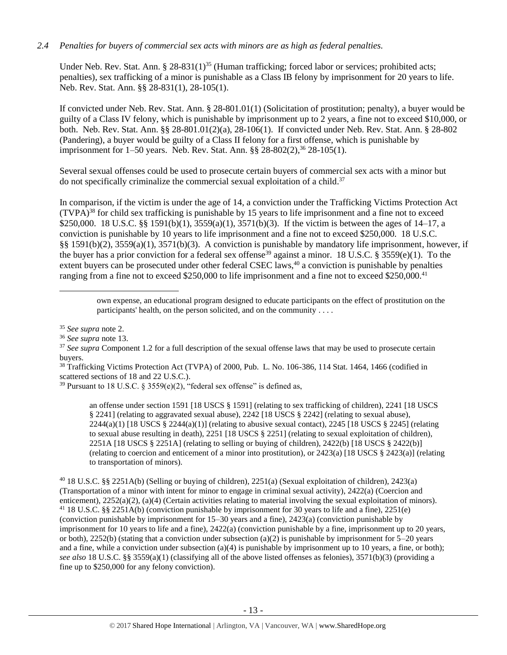# *2.4 Penalties for buyers of commercial sex acts with minors are as high as federal penalties.*

Under Neb. Rev. Stat. Ann. § 28-831(1)<sup>35</sup> (Human trafficking; forced labor or services; prohibited acts; penalties), sex trafficking of a minor is punishable as a Class IB felony by imprisonment for 20 years to life. Neb. Rev. Stat. Ann. §§ 28-831(1), 28-105(1).

If convicted under Neb. Rev. Stat. Ann. § 28-801.01(1) (Solicitation of prostitution; penalty), a buyer would be guilty of a Class IV felony, which is punishable by imprisonment up to 2 years, a fine not to exceed \$10,000, or both. Neb. Rev. Stat. Ann. §§ 28-801.01(2)(a), 28-106(1). If convicted under Neb. Rev. Stat. Ann. § 28-802 (Pandering), a buyer would be guilty of a Class II felony for a first offense, which is punishable by imprisonment for 1–50 years. Neb. Rev. Stat. Ann. §§ 28-802(2),<sup>36</sup> 28-105(1).

Several sexual offenses could be used to prosecute certain buyers of commercial sex acts with a minor but do not specifically criminalize the commercial sexual exploitation of a child. 37

In comparison, if the victim is under the age of 14, a conviction under the Trafficking Victims Protection Act  $(TVPA)<sup>38</sup>$  for child sex trafficking is punishable by 15 years to life imprisonment and a fine not to exceed \$250,000. 18 U.S.C. §§ 1591(b)(1), 3559(a)(1), 3571(b)(3). If the victim is between the ages of 14–17, a conviction is punishable by 10 years to life imprisonment and a fine not to exceed \$250,000. 18 U.S.C. §§ 1591(b)(2), 3559(a)(1), 3571(b)(3). A conviction is punishable by mandatory life imprisonment, however, if the buyer has a prior conviction for a federal sex offense<sup>39</sup> against a minor. 18 U.S.C. § 3559(e)(1). To the extent buyers can be prosecuted under other federal CSEC laws,<sup>40</sup> a conviction is punishable by penalties ranging from a fine not to exceed \$250,000 to life imprisonment and a fine not to exceed \$250,000.<sup>41</sup>

 $\overline{\phantom{a}}$ 

an offense under section 1591 [18 USCS § 1591] (relating to sex trafficking of children), 2241 [18 USCS § 2241] (relating to aggravated sexual abuse), 2242 [18 USCS § 2242] (relating to sexual abuse),  $2244(a)(1)$  [18 USCS §  $2244(a)(1)$ ] (relating to abusive sexual contact),  $2245$  [18 USCS § 2245] (relating to sexual abuse resulting in death), 2251 [18 USCS § 2251] (relating to sexual exploitation of children), 2251A [18 USCS § 2251A] (relating to selling or buying of children), 2422(b) [18 USCS § 2422(b)] (relating to coercion and enticement of a minor into prostitution), or 2423(a) [18 USCS § 2423(a)] (relating to transportation of minors).

<sup>40</sup> 18 U.S.C. §§ 2251A(b) (Selling or buying of children), 2251(a) (Sexual exploitation of children), 2423(a) (Transportation of a minor with intent for minor to engage in criminal sexual activity), 2422(a) (Coercion and enticement), 2252(a)(2), (a)(4) (Certain activities relating to material involving the sexual exploitation of minors). <sup>41</sup> 18 U.S.C. §§ 2251A(b) (conviction punishable by imprisonment for 30 years to life and a fine), 2251(e) (conviction punishable by imprisonment for 15–30 years and a fine), 2423(a) (conviction punishable by imprisonment for 10 years to life and a fine), 2422(a) (conviction punishable by a fine, imprisonment up to 20 years, or both), 2252(b) (stating that a conviction under subsection (a)(2) is punishable by imprisonment for  $5-20$  years and a fine, while a conviction under subsection (a)(4) is punishable by imprisonment up to 10 years, a fine, or both); *see also* 18 U.S.C. §§ 3559(a)(1) (classifying all of the above listed offenses as felonies), 3571(b)(3) (providing a fine up to \$250,000 for any felony conviction).

own expense, an educational program designed to educate participants on the effect of prostitution on the participants' health, on the person solicited, and on the community . . . .

<sup>35</sup> *See supra* note [2.](#page-0-0)

<sup>36</sup> *See supra* note [13.](#page-3-0)

<sup>&</sup>lt;sup>37</sup> See supra Component 1.2 for a full description of the sexual offense laws that may be used to prosecute certain buyers.

<sup>38</sup> Trafficking Victims Protection Act (TVPA) of 2000, Pub. L. No. 106-386, 114 Stat. 1464, 1466 (codified in scattered sections of 18 and 22 U.S.C.).

<sup>&</sup>lt;sup>39</sup> Pursuant to 18 U.S.C. § 3559(e)(2), "federal sex offense" is defined as,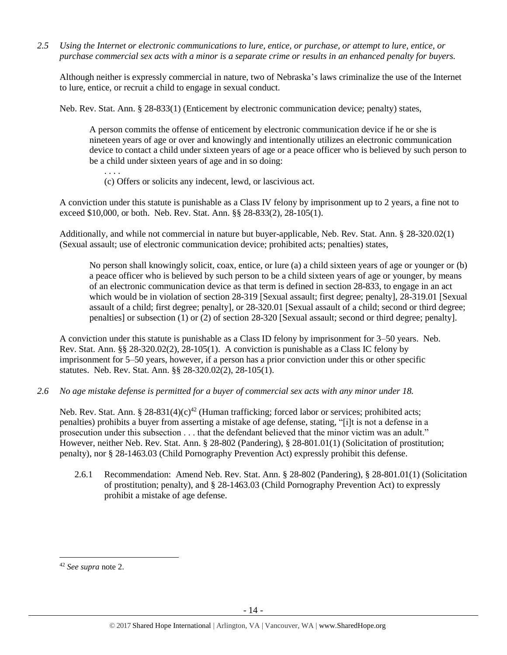*2.5 Using the Internet or electronic communications to lure, entice, or purchase, or attempt to lure, entice, or purchase commercial sex acts with a minor is a separate crime or results in an enhanced penalty for buyers.*

Although neither is expressly commercial in nature, two of Nebraska's laws criminalize the use of the Internet to lure, entice, or recruit a child to engage in sexual conduct.

Neb. Rev. Stat. Ann. § 28-833(1) (Enticement by electronic communication device; penalty) states,

A person commits the offense of enticement by electronic communication device if he or she is nineteen years of age or over and knowingly and intentionally utilizes an electronic communication device to contact a child under sixteen years of age or a peace officer who is believed by such person to be a child under sixteen years of age and in so doing:

. . . . (c) Offers or solicits any indecent, lewd, or lascivious act.

A conviction under this statute is punishable as a Class IV felony by imprisonment up to 2 years, a fine not to exceed \$10,000, or both. Neb. Rev. Stat. Ann. §§ 28-833(2), 28-105(1).

Additionally, and while not commercial in nature but buyer-applicable, Neb. Rev. Stat. Ann. § 28-320.02(1) (Sexual assault; use of electronic communication device; prohibited acts; penalties) states,

No person shall knowingly solicit, coax, entice, or lure (a) a child sixteen years of age or younger or (b) a peace officer who is believed by such person to be a child sixteen years of age or younger, by means of an electronic communication device as that term is defined in section 28-833, to engage in an act which would be in violation of section [28-319](http://nebraskalegislature.gov/laws/statutes.php?statute=28-319) [Sexual assault; first degree; penalty], [28-319.01](http://nebraskalegislature.gov/laws/statutes.php?statute=28-319.01) [Sexual assault of a child; first degree; penalty], or [28-320.01](http://nebraskalegislature.gov/laws/statutes.php?statute=28-320.01) [Sexual assault of a child; second or third degree; penalties] or subsection (1) or (2) of section [28-320](http://nebraskalegislature.gov/laws/statutes.php?statute=28-320) [Sexual assault; second or third degree; penalty].

A conviction under this statute is punishable as a Class ID felony by imprisonment for 3–50 years. Neb. Rev. Stat. Ann. §§ 28-320.02(2), 28-105(1). A conviction is punishable as a Class IC felony by imprisonment for 5–50 years, however, if a person has a prior conviction under this or other specific statutes. Neb. Rev. Stat. Ann. §§ 28-320.02(2), 28-105(1).

*2.6 No age mistake defense is permitted for a buyer of commercial sex acts with any minor under 18.*

Neb. Rev. Stat. Ann. § 28-831(4)(c)<sup>42</sup> (Human trafficking; forced labor or services; prohibited acts; penalties) prohibits a buyer from asserting a mistake of age defense, stating, "[i]t is not a defense in a prosecution under this subsection . . . that the defendant believed that the minor victim was an adult." However, neither Neb. Rev. Stat. Ann. § 28-802 (Pandering), § 28-801.01(1) (Solicitation of prostitution; penalty), nor § 28-1463.03 (Child Pornography Prevention Act) expressly prohibit this defense.

2.6.1 Recommendation: Amend Neb. Rev. Stat. Ann. § 28-802 (Pandering), § 28-801.01(1) (Solicitation of prostitution; penalty), and § 28-1463.03 (Child Pornography Prevention Act) to expressly prohibit a mistake of age defense.

 $\overline{a}$ 

<sup>42</sup> *See supra* note [2.](#page-0-0)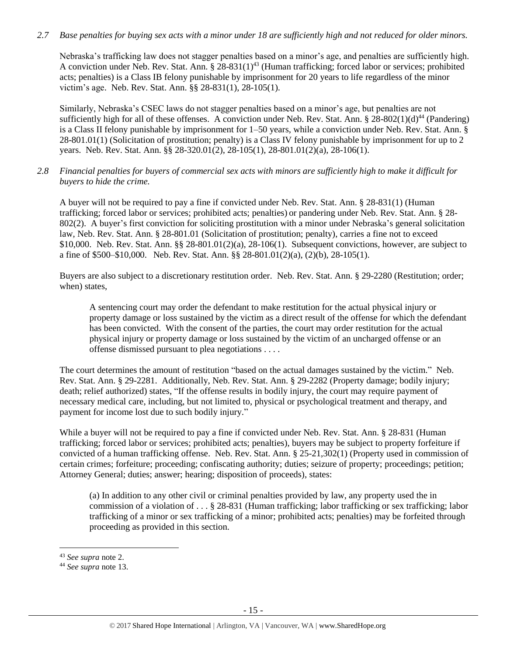## *2.7 Base penalties for buying sex acts with a minor under 18 are sufficiently high and not reduced for older minors.*

Nebraska's trafficking law does not stagger penalties based on a minor's age, and penalties are sufficiently high. A conviction under Neb. Rev. Stat. Ann. § 28-831(1)<sup>43</sup> (Human trafficking; forced labor or services; prohibited acts; penalties) is a Class IB felony punishable by imprisonment for 20 years to life regardless of the minor victim's age. Neb. Rev. Stat. Ann. §§ 28-831(1), 28-105(1).

Similarly, Nebraska's CSEC laws do not stagger penalties based on a minor's age, but penalties are not sufficiently high for all of these offenses. A conviction under Neb. Rev. Stat. Ann. §  $28-802(1)(d)^{44}$  (Pandering) is a Class II felony punishable by imprisonment for 1–50 years, while a conviction under Neb. Rev. Stat. Ann. § 28-801.01(1) (Solicitation of prostitution; penalty) is a Class IV felony punishable by imprisonment for up to 2 years. Neb. Rev. Stat. Ann. §§ 28-320.01(2), 28-105(1), 28-801.01(2)(a), 28-106(1).

*2.8 Financial penalties for buyers of commercial sex acts with minors are sufficiently high to make it difficult for buyers to hide the crime.* 

A buyer will not be required to pay a fine if convicted under Neb. Rev. Stat. Ann. § 28-831(1) (Human trafficking; forced labor or services; prohibited acts; penalties) or pandering under Neb. Rev. Stat. Ann. § 28- 802(2). A buyer's first conviction for soliciting prostitution with a minor under Nebraska's general solicitation law, Neb. Rev. Stat. Ann. § 28-801.01 (Solicitation of prostitution; penalty), carries a fine not to exceed \$10,000. Neb. Rev. Stat. Ann. §§ 28-801.01(2)(a), 28-106(1). Subsequent convictions, however, are subject to a fine of \$500–\$10,000. Neb. Rev. Stat. Ann. §§ 28-801.01(2)(a), (2)(b), 28-105(1).

Buyers are also subject to a discretionary restitution order. Neb. Rev. Stat. Ann. § 29-2280 (Restitution; order; when) states,

A sentencing court may order the defendant to make restitution for the actual physical injury or property damage or loss sustained by the victim as a direct result of the offense for which the defendant has been convicted. With the consent of the parties, the court may order restitution for the actual physical injury or property damage or loss sustained by the victim of an uncharged offense or an offense dismissed pursuant to plea negotiations . . . .

The court determines the amount of restitution "based on the actual damages sustained by the victim." Neb. Rev. Stat. Ann. § 29-2281. Additionally, Neb. Rev. Stat. Ann. § 29-2282 (Property damage; bodily injury; death; relief authorized) states, "If the offense results in bodily injury, the court may require payment of necessary medical care, including, but not limited to, physical or psychological treatment and therapy, and payment for income lost due to such bodily injury."

While a buyer will not be required to pay a fine if convicted under Neb. Rev. Stat. Ann. § 28-831 (Human trafficking; forced labor or services; prohibited acts; penalties), buyers may be subject to property forfeiture if convicted of a human trafficking offense. Neb. Rev. Stat. Ann. § 25-21,302(1) (Property used in commission of certain crimes; forfeiture; proceeding; confiscating authority; duties; seizure of property; proceedings; petition; Attorney General; duties; answer; hearing; disposition of proceeds), states:

(a) In addition to any other civil or criminal penalties provided by law, any property used the in commission of a violation of . . . § 28-831 (Human trafficking; labor trafficking or sex trafficking; labor trafficking of a minor or sex trafficking of a minor; prohibited acts; penalties) may be forfeited through proceeding as provided in this section.

l

<sup>43</sup> *See supra* note [2.](#page-0-0)

<sup>44</sup> *See supra* note [13.](#page-3-0)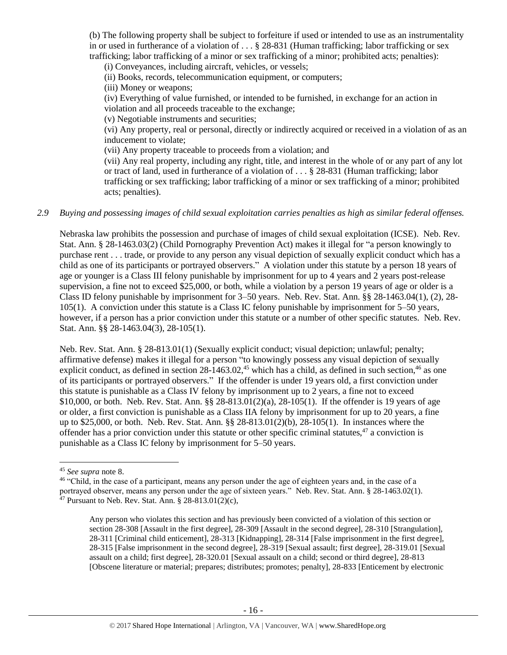(b) The following property shall be subject to forfeiture if used or intended to use as an instrumentality in or used in furtherance of a violation of  $\dots$  § 28-831 (Human trafficking; labor trafficking or sex trafficking; labor trafficking of a minor or sex trafficking of a minor; prohibited acts; penalties):

(i) Conveyances, including aircraft, vehicles, or vessels;

(ii) Books, records, telecommunication equipment, or computers;

(iii) Money or weapons;

(iv) Everything of value furnished, or intended to be furnished, in exchange for an action in violation and all proceeds traceable to the exchange;

(v) Negotiable instruments and securities;

(vi) Any property, real or personal, directly or indirectly acquired or received in a violation of as an inducement to violate;

(vii) Any property traceable to proceeds from a violation; and

(vii) Any real property, including any right, title, and interest in the whole of or any part of any lot or tract of land, used in furtherance of a violation of . . . § 28-831 (Human trafficking; labor trafficking or sex trafficking; labor trafficking of a minor or sex trafficking of a minor; prohibited acts; penalties).

## *2.9 Buying and possessing images of child sexual exploitation carries penalties as high as similar federal offenses.*

Nebraska law prohibits the possession and purchase of images of child sexual exploitation (ICSE). Neb. Rev. Stat. Ann. § 28-1463.03(2) (Child Pornography Prevention Act) makes it illegal for "a person knowingly to purchase rent . . . trade, or provide to any person any visual depiction of sexually explicit conduct which has a child as one of its participants or portrayed observers." A violation under this statute by a person 18 years of age or younger is a Class III felony punishable by imprisonment for up to 4 years and 2 years post-release supervision, a fine not to exceed \$25,000, or both, while a violation by a person 19 years of age or older is a Class ID felony punishable by imprisonment for 3–50 years. Neb. Rev. Stat. Ann. §§ 28-1463.04(1), (2), 28- 105(1). A conviction under this statute is a Class IC felony punishable by imprisonment for 5–50 years, however, if a person has a prior conviction under this statute or a number of other specific statutes. Neb. Rev. Stat. Ann. §§ 28-1463.04(3), 28-105(1).

Neb. Rev. Stat. Ann. § 28-813.01(1) (Sexually explicit conduct; visual depiction; unlawful; penalty; affirmative defense) makes it illegal for a person "to knowingly possess any visual depiction of sexually explicit conduct, as defined in section  $28-1463.02$ ,<sup>45</sup> which has a child, as defined in such section,<sup>46</sup> as one of its participants or portrayed observers." If the offender is under 19 years old, a first conviction under this statute is punishable as a Class IV felony by imprisonment up to 2 years, a fine not to exceed \$10,000, or both. Neb. Rev. Stat. Ann. §§ 28-813.01(2)(a), 28-105(1). If the offender is 19 years of age or older, a first conviction is punishable as a Class IIA felony by imprisonment for up to 20 years, a fine up to \$25,000, or both. Neb. Rev. Stat. Ann. §§ 28-813.01(2)(b), 28-105(1). In instances where the offender has a prior conviction under this statute or other specific criminal statutes, $47$  a conviction is punishable as a Class IC felony by imprisonment for 5–50 years.

 $\overline{\phantom{a}}$ 

<sup>45</sup> *See supra* note [8.](#page-2-1)

<sup>&</sup>lt;sup>46</sup> "Child, in the case of a participant, means any person under the age of eighteen years and, in the case of a portrayed observer, means any person under the age of sixteen years." Neb. Rev. Stat. Ann. § 28-1463.02(1). <sup>47</sup> Pursuant to Neb. Rev. Stat. Ann.  $\S$  28-813.01(2)(c),

Any person who violates this section and has previously been convicted of a violation of this section or section 28-308 [Assault in the first degree], 28-309 [Assault in the second degree], 28-310 [Strangulation], 28-311 [Criminal child enticement], 28-313 [Kidnapping], 28-314 [False imprisonment in the first degree], 28-315 [False imprisonment in the second degree], 28-319 [Sexual assault; first degree], 28-319.01 [Sexual assault on a child; first degree], 28-320.01 [Sexual assault on a child; second or third degree], 28-813 [Obscene literature or material; prepares; distributes; promotes; penalty], 28-833 [Enticement by electronic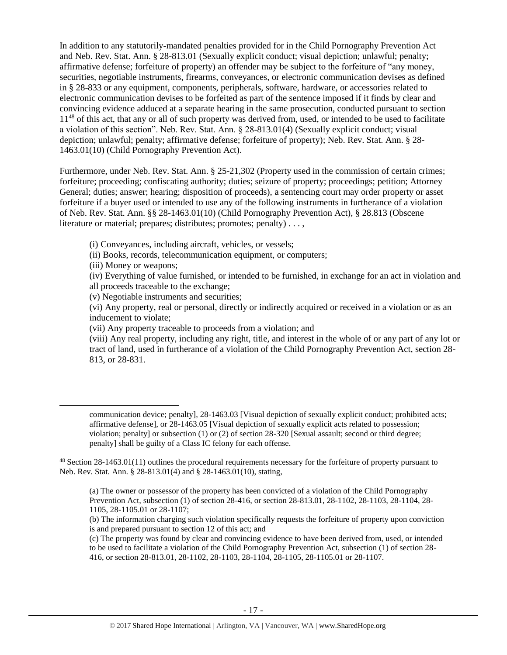In addition to any statutorily-mandated penalties provided for in the Child Pornography Prevention Act and Neb. Rev. Stat. Ann. § 28-813.01 (Sexually explicit conduct; visual depiction; unlawful; penalty; affirmative defense; forfeiture of property) an offender may be subject to the forfeiture of "any money, securities, negotiable instruments, firearms, conveyances, or electronic communication devises as defined in § 28-833 or any equipment, components, peripherals, software, hardware, or accessories related to electronic communication devises to be forfeited as part of the sentence imposed if it finds by clear and convincing evidence adduced at a separate hearing in the same prosecution, conducted pursuant to section 11<sup>48</sup> of this act, that any or all of such property was derived from, used, or intended to be used to facilitate a violation of this section". Neb. Rev. Stat. Ann. § 28-813.01(4) (Sexually explicit conduct; visual depiction; unlawful; penalty; affirmative defense; forfeiture of property); Neb. Rev. Stat. Ann. § 28- 1463.01(10) (Child Pornography Prevention Act).

Furthermore, under Neb. Rev. Stat. Ann. § 25-21,302 (Property used in the commission of certain crimes; forfeiture; proceeding; confiscating authority; duties; seizure of property; proceedings; petition; Attorney General; duties; answer; hearing; disposition of proceeds), a sentencing court may order property or asset forfeiture if a buyer used or intended to use any of the following instruments in furtherance of a violation of Neb. Rev. Stat. Ann. §§ 28-1463.01(10) (Child Pornography Prevention Act), § 28.813 (Obscene literature or material; prepares; distributes; promotes; penalty) . . . ,

(i) Conveyances, including aircraft, vehicles, or vessels;

(ii) Books, records, telecommunication equipment, or computers;

(iii) Money or weapons;

 $\overline{\phantom{a}}$ 

(iv) Everything of value furnished, or intended to be furnished, in exchange for an act in violation and all proceeds traceable to the exchange;

(v) Negotiable instruments and securities;

(vi) Any property, real or personal, directly or indirectly acquired or received in a violation or as an inducement to violate;

(vii) Any property traceable to proceeds from a violation; and

(viii) Any real property, including any right, title, and interest in the whole of or any part of any lot or tract of land, used in furtherance of a violation of the Child Pornography Prevention Act, section 28- 813, or 28-831.

communication device; penalty], 28-1463.03 [Visual depiction of sexually explicit conduct; prohibited acts; affirmative defense], or 28-1463.05 [Visual depiction of sexually explicit acts related to possession; violation; penalty] or subsection (1) or (2) of section 28-320 [Sexual assault; second or third degree; penalty] shall be guilty of a Class IC felony for each offense.

<sup>48</sup> Section 28-1463.01(11) outlines the procedural requirements necessary for the forfeiture of property pursuant to Neb. Rev. Stat. Ann. § 28-813.01(4) and § 28-1463.01(10), stating,

(a) The owner or possessor of the property has been convicted of a violation of the Child Pornography Prevention Act, subsection (1) of section 28-416, or section 28-813.01, 28-1102, 28-1103, 28-1104, 28- 1105, 28-1105.01 or 28-1107;

(b) The information charging such violation specifically requests the forfeiture of property upon conviction is and prepared pursuant to section 12 of this act; and

(c) The property was found by clear and convincing evidence to have been derived from, used, or intended to be used to facilitate a violation of the Child Pornography Prevention Act, subsection (1) of section 28- 416, or section 28-813.01, 28-1102, 28-1103, 28-1104, 28-1105, 28-1105.01 or 28-1107.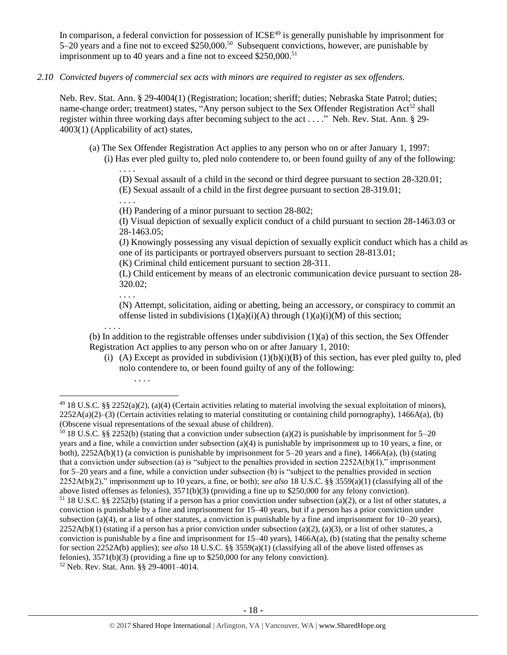In comparison, a federal conviction for possession of ICSE<sup>49</sup> is generally punishable by imprisonment for 5–20 years and a fine not to exceed \$250,000.<sup>50</sup> Subsequent convictions, however, are punishable by imprisonment up to 40 years and a fine not to exceed  $$250,000$ .<sup>51</sup>

*2.10 Convicted buyers of commercial sex acts with minors are required to register as sex offenders.* 

Neb. Rev. Stat. Ann. § 29-4004(1) (Registration; location; sheriff; duties; Nebraska State Patrol; duties; name-change order; treatment) states, "Any person subject to the Sex Offender Registration Act<sup>52</sup> shall register within three working days after becoming subject to the act . . . ." Neb. Rev. Stat. Ann. § 29- 4003(1) (Applicability of act) states,

(a) The Sex Offender Registration Act applies to any person who on or after January 1, 1997: (i) Has ever pled guilty to, pled nolo contendere to, or been found guilty of any of the following:

(D) Sexual assault of a child in the second or third degree pursuant to section 28-320.01; (E) Sexual assault of a child in the first degree pursuant to section 28-319.01;

. . . . (H) Pandering of a minor pursuant to section 28-802;

(I) Visual depiction of sexually explicit conduct of a child pursuant to section 28-1463.03 or 28-1463.05;

(J) Knowingly possessing any visual depiction of sexually explicit conduct which has a child as one of its participants or portrayed observers pursuant to section 28-813.01;

(K) Criminal child enticement pursuant to section 28-311.

(L) Child enticement by means of an electronic communication device pursuant to section 28- 320.02;

. . . .

. . . .

 $\overline{\phantom{a}}$ 

<span id="page-17-0"></span>. . . .

(N) Attempt, solicitation, aiding or abetting, being an accessory, or conspiracy to commit an offense listed in subdivisions  $(1)(a)(i)(A)$  through  $(1)(a)(i)(M)$  of this section;

. . . . (b) In addition to the registrable offenses under subdivision (1)(a) of this section, the Sex Offender Registration Act applies to any person who on or after January 1, 2010:

(i) (A) Except as provided in subdivision  $(1)(b)(i)(B)$  of this section, has ever pled guilty to, pled nolo contendere to, or been found guilty of any of the following:

<sup>50</sup> 18 U.S.C. §§ 2252(b) (stating that a conviction under subsection (a)(2) is punishable by imprisonment for 5–20 years and a fine, while a conviction under subsection (a)(4) is punishable by imprisonment up to 10 years, a fine, or both),  $2252A(b)(1)$  (a conviction is punishable by imprisonment for 5–20 years and a fine),  $1466A(a)$ , (b) (stating that a conviction under subsection (a) is "subject to the penalties provided in section  $2252A(b)(1)$ ," imprisonment for 5–20 years and a fine, while a conviction under subsection (b) is "subject to the penalties provided in section 2252A(b)(2)," imprisonment up to 10 years, a fine, or both); *see also* 18 U.S.C. §§ 3559(a)(1) (classifying all of the above listed offenses as felonies), 3571(b)(3) (providing a fine up to \$250,000 for any felony conviction). <sup>51</sup> 18 U.S.C. §§ 2252(b) (stating if a person has a prior conviction under subsection (a)(2), or a list of other statutes, a conviction is punishable by a fine and imprisonment for 15–40 years, but if a person has a prior conviction under subsection (a)(4), or a list of other statutes, a conviction is punishable by a fine and imprisonment for  $10-20$  years),  $2252A(b)(1)$  (stating if a person has a prior conviction under subsection (a)(2), (a)(3), or a list of other statutes, a conviction is punishable by a fine and imprisonment for  $15-40$  years),  $1466A(a)$ , (b) (stating that the penalty scheme for section 2252A(b) applies); *see also* 18 U.S.C. §§ 3559(a)(1) (classifying all of the above listed offenses as felonies), 3571(b)(3) (providing a fine up to \$250,000 for any felony conviction). <sup>52</sup> Neb. Rev. Stat. Ann. §§ 29-4001–4014.

 $49$  18 U.S.C. §§ 2252(a)(2), (a)(4) (Certain activities relating to material involving the sexual exploitation of minors),  $2252A(a)(2)$ –(3) (Certain activities relating to material constituting or containing child pornography), 1466A(a), (b) (Obscene visual representations of the sexual abuse of children).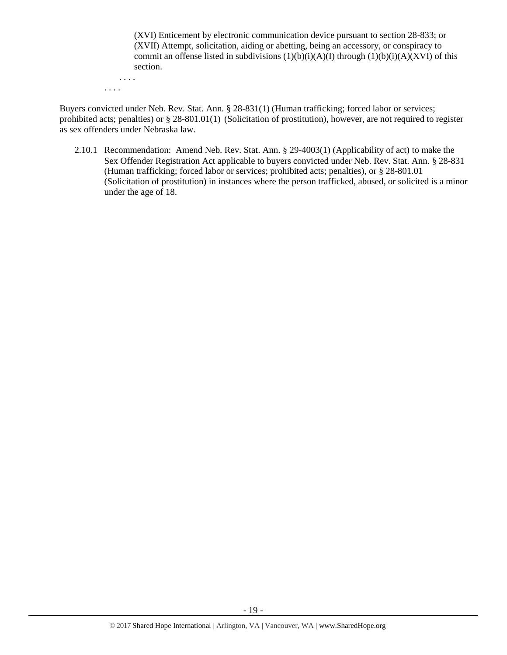(XVI) Enticement by electronic communication device pursuant to section 28-833; or (XVII) Attempt, solicitation, aiding or abetting, being an accessory, or conspiracy to commit an offense listed in subdivisions  $(1)(b)(i)(A)(I)$  through  $(1)(b)(i)(A)(XVI)$  of this section.

. . . . . . . .

Buyers convicted under Neb. Rev. Stat. Ann. § 28-831(1) (Human trafficking; forced labor or services; prohibited acts; penalties) or § 28-801.01(1) (Solicitation of prostitution), however, are not required to register as sex offenders under Nebraska law.

2.10.1 Recommendation: Amend Neb. Rev. Stat. Ann. § 29-4003(1) (Applicability of act) to make the Sex Offender Registration Act applicable to buyers convicted under Neb. Rev. Stat. Ann. § 28-831 (Human trafficking; forced labor or services; prohibited acts; penalties), or § 28-801.01 (Solicitation of prostitution) in instances where the person trafficked, abused, or solicited is a minor under the age of 18.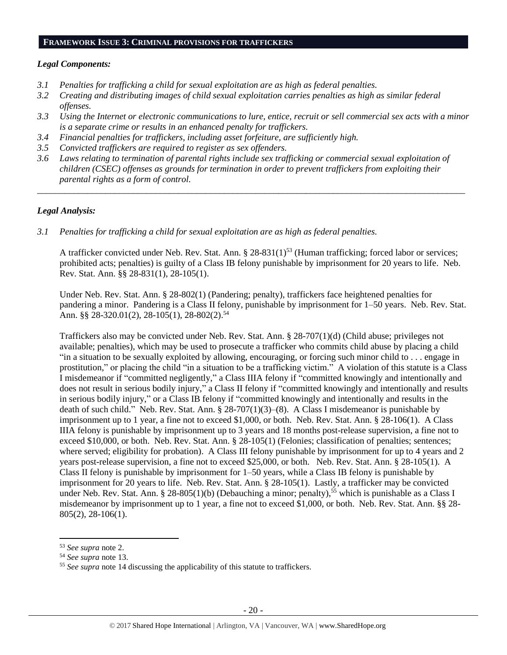#### **FRAMEWORK ISSUE 3: CRIMINAL PROVISIONS FOR TRAFFICKERS**

## *Legal Components:*

- *3.1 Penalties for trafficking a child for sexual exploitation are as high as federal penalties.*
- *3.2 Creating and distributing images of child sexual exploitation carries penalties as high as similar federal offenses.*
- *3.3 Using the Internet or electronic communications to lure, entice, recruit or sell commercial sex acts with a minor is a separate crime or results in an enhanced penalty for traffickers.*
- *3.4 Financial penalties for traffickers, including asset forfeiture, are sufficiently high.*
- *3.5 Convicted traffickers are required to register as sex offenders.*
- *3.6 Laws relating to termination of parental rights include sex trafficking or commercial sexual exploitation of children (CSEC) offenses as grounds for termination in order to prevent traffickers from exploiting their parental rights as a form of control.*

*\_\_\_\_\_\_\_\_\_\_\_\_\_\_\_\_\_\_\_\_\_\_\_\_\_\_\_\_\_\_\_\_\_\_\_\_\_\_\_\_\_\_\_\_\_\_\_\_\_\_\_\_\_\_\_\_\_\_\_\_\_\_\_\_\_\_\_\_\_\_\_\_\_\_\_\_\_\_\_\_\_\_\_\_\_\_\_\_\_\_\_\_\_\_*

# *Legal Analysis:*

*3.1 Penalties for trafficking a child for sexual exploitation are as high as federal penalties.* 

A trafficker convicted under Neb. Rev. Stat. Ann. § 28-831(1)<sup>53</sup> (Human trafficking; forced labor or services; prohibited acts; penalties) is guilty of a Class IB felony punishable by imprisonment for 20 years to life. Neb. Rev. Stat. Ann. §§ 28-831(1), 28-105(1).

Under Neb. Rev. Stat. Ann. § 28-802(1) (Pandering; penalty), traffickers face heightened penalties for pandering a minor. Pandering is a Class II felony, punishable by imprisonment for 1–50 years. Neb. Rev. Stat. Ann. §§ 28-320.01(2), 28-105(1), 28-802(2).<sup>54</sup>

Traffickers also may be convicted under Neb. Rev. Stat. Ann. § 28-707(1)(d) (Child abuse; privileges not available; penalties), which may be used to prosecute a trafficker who commits child abuse by placing a child "in a situation to be sexually exploited by allowing, encouraging, or forcing such minor child to . . . engage in prostitution," or placing the child "in a situation to be a trafficking victim." A violation of this statute is a Class I misdemeanor if "committed negligently," a Class IIIA felony if "committed knowingly and intentionally and does not result in serious bodily injury," a Class II felony if "committed knowingly and intentionally and results in serious bodily injury," or a Class IB felony if "committed knowingly and intentionally and results in the death of such child." Neb. Rev. Stat. Ann. § 28-707(1)(3)–(8). A Class I misdemeanor is punishable by imprisonment up to 1 year, a fine not to exceed \$1,000, or both. Neb. Rev. Stat. Ann. § 28-106(1). A Class IIIA felony is punishable by imprisonment up to 3 years and 18 months post-release supervision, a fine not to exceed \$10,000, or both. Neb. Rev. Stat. Ann. § 28-105(1) (Felonies; classification of penalties; sentences; where served; eligibility for probation). A Class III felony punishable by imprisonment for up to 4 years and 2 years post-release supervision, a fine not to exceed \$25,000, or both. Neb. Rev. Stat. Ann. § 28-105(1). A Class II felony is punishable by imprisonment for 1–50 years, while a Class IB felony is punishable by imprisonment for 20 years to life. Neb. Rev. Stat. Ann. § 28-105(1). Lastly, a trafficker may be convicted under Neb. Rev. Stat. Ann. § 28-805(1)(b) (Debauching a minor; penalty),<sup>55</sup> which is punishable as a Class I misdemeanor by imprisonment up to 1 year, a fine not to exceed \$1,000, or both. Neb. Rev. Stat. Ann. §§ 28- 805(2), 28-106(1).

 $\overline{\phantom{a}}$ 

<sup>53</sup> *See supra* note [2.](#page-0-0)

<sup>54</sup> *See supra* note [13.](#page-3-0)

<sup>55</sup> *See supra* note [14](#page-4-0) discussing the applicability of this statute to traffickers.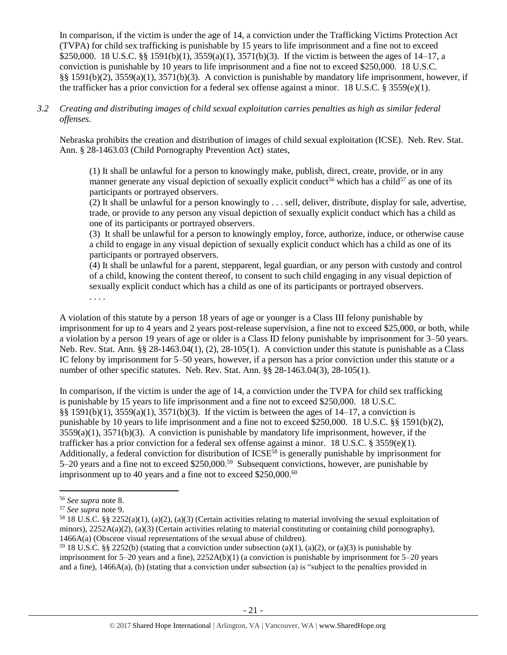In comparison, if the victim is under the age of 14, a conviction under the Trafficking Victims Protection Act (TVPA) for child sex trafficking is punishable by 15 years to life imprisonment and a fine not to exceed \$250,000. 18 U.S.C. §§ 1591(b)(1), 3559(a)(1), 3571(b)(3). If the victim is between the ages of 14–17, a conviction is punishable by 10 years to life imprisonment and a fine not to exceed \$250,000. 18 U.S.C. §§ 1591(b)(2), 3559(a)(1), 3571(b)(3). A conviction is punishable by mandatory life imprisonment, however, if the trafficker has a prior conviction for a federal sex offense against a minor. 18 U.S.C. § 3559(e)(1).

## *3.2 Creating and distributing images of child sexual exploitation carries penalties as high as similar federal offenses.*

Nebraska prohibits the creation and distribution of images of child sexual exploitation (ICSE). Neb. Rev. Stat. Ann. § 28-1463.03 (Child Pornography Prevention Act) states,

(1) It shall be unlawful for a person to knowingly make, publish, direct, create, provide, or in any manner generate any visual depiction of sexually explicit conduct<sup>56</sup> which has a child<sup>57</sup> as one of its participants or portrayed observers.

(2) It shall be unlawful for a person knowingly to . . . sell, deliver, distribute, display for sale, advertise, trade, or provide to any person any visual depiction of sexually explicit conduct which has a child as one of its participants or portrayed observers.

(3) It shall be unlawful for a person to knowingly employ, force, authorize, induce, or otherwise cause a child to engage in any visual depiction of sexually explicit conduct which has a child as one of its participants or portrayed observers.

(4) It shall be unlawful for a parent, stepparent, legal guardian, or any person with custody and control of a child, knowing the content thereof, to consent to such child engaging in any visual depiction of sexually explicit conduct which has a child as one of its participants or portrayed observers. . . . .

A violation of this statute by a person 18 years of age or younger is a Class III felony punishable by imprisonment for up to 4 years and 2 years post-release supervision, a fine not to exceed \$25,000, or both, while a violation by a person 19 years of age or older is a Class ID felony punishable by imprisonment for 3–50 years. Neb. Rev. Stat. Ann. §§ 28-1463.04(1), (2), 28-105(1). A conviction under this statute is punishable as a Class IC felony by imprisonment for 5–50 years, however, if a person has a prior conviction under this statute or a number of other specific statutes. Neb. Rev. Stat. Ann. §§ 28-1463.04(3), 28-105(1).

In comparison, if the victim is under the age of 14, a conviction under the TVPA for child sex trafficking is punishable by 15 years to life imprisonment and a fine not to exceed \$250,000. 18 U.S.C. §§ 1591(b)(1), 3559(a)(1), 3571(b)(3). If the victim is between the ages of 14–17, a conviction is punishable by 10 years to life imprisonment and a fine not to exceed \$250,000. 18 U.S.C. §§ 1591(b)(2), 3559(a)(1), 3571(b)(3). A conviction is punishable by mandatory life imprisonment, however, if the trafficker has a prior conviction for a federal sex offense against a minor. 18 U.S.C. § 3559(e)(1). Additionally, a federal conviction for distribution of  $ICSE^{58}$  is generally punishable by imprisonment for 5–20 years and a fine not to exceed \$250,000.<sup>59</sup> Subsequent convictions, however, are punishable by imprisonment up to 40 years and a fine not to exceed  $$250,000.<sup>60</sup>$ 

l

<sup>56</sup> *See supra* note [8.](#page-2-1)

<sup>57</sup> *See supra* note [9.](#page-2-2)

<sup>58</sup> 18 U.S.C. §§ 2252(a)(1), (a)(2), (a)(3) (Certain activities relating to material involving the sexual exploitation of minors),  $2252A(a)(2)$ ,  $(a)(3)$  (Certain activities relating to material constituting or containing child pornography), 1466A(a) (Obscene visual representations of the sexual abuse of children).

<sup>&</sup>lt;sup>59</sup> 18 U.S.C. §§ 2252(b) (stating that a conviction under subsection (a)(1), (a)(2), or (a)(3) is punishable by imprisonment for  $5-20$  years and a fine),  $2252A(b)(1)$  (a conviction is punishable by imprisonment for  $5-20$  years and a fine), 1466A(a), (b) (stating that a conviction under subsection (a) is "subject to the penalties provided in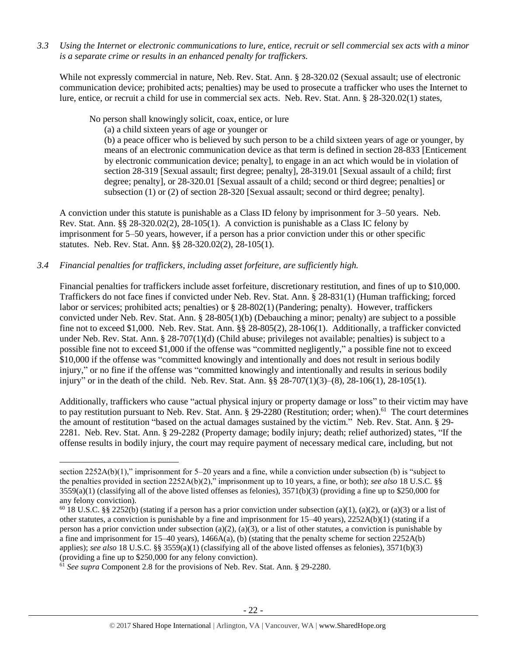*3.3 Using the Internet or electronic communications to lure, entice, recruit or sell commercial sex acts with a minor is a separate crime or results in an enhanced penalty for traffickers.*

While not expressly commercial in nature, Neb. Rev. Stat. Ann. § 28-320.02 (Sexual assault; use of electronic communication device; prohibited acts; penalties) may be used to prosecute a trafficker who uses the Internet to lure, entice, or recruit a child for use in commercial sex acts. Neb. Rev. Stat. Ann. § 28-320.02(1) states,

No person shall knowingly solicit, coax, entice, or lure

(a) a child sixteen years of age or younger or

(b) a peace officer who is believed by such person to be a child sixteen years of age or younger, by means of an electronic communication device as that term is defined in section 28-833 [Enticement by electronic communication device; penalty], to engage in an act which would be in violation of section [28-319](http://nebraskalegislature.gov/laws/statutes.php?statute=28-319) [Sexual assault; first degree; penalty], [28-319.01](http://nebraskalegislature.gov/laws/statutes.php?statute=28-319.01) [Sexual assault of a child; first degree; penalty], or [28-320.01](http://nebraskalegislature.gov/laws/statutes.php?statute=28-320.01) [Sexual assault of a child; second or third degree; penalties] or subsection (1) or (2) of section [28-320](http://nebraskalegislature.gov/laws/statutes.php?statute=28-320) [Sexual assault; second or third degree; penalty].

A conviction under this statute is punishable as a Class ID felony by imprisonment for 3–50 years. Neb. Rev. Stat. Ann. §§ 28-320.02(2), 28-105(1). A conviction is punishable as a Class IC felony by imprisonment for 5–50 years, however, if a person has a prior conviction under this or other specific statutes. Neb. Rev. Stat. Ann. §§ 28-320.02(2), 28-105(1).

## *3.4 Financial penalties for traffickers, including asset forfeiture, are sufficiently high.*

Financial penalties for traffickers include asset forfeiture, discretionary restitution, and fines of up to \$10,000. Traffickers do not face fines if convicted under Neb. Rev. Stat. Ann. § 28-831(1) (Human trafficking; forced labor or services; prohibited acts; penalties) or § 28-802(1)(Pandering; penalty). However, traffickers convicted under Neb. Rev. Stat. Ann. § 28-805(1)(b) (Debauching a minor; penalty) are subject to a possible fine not to exceed \$1,000. Neb. Rev. Stat. Ann. §§ 28-805(2), 28-106(1). Additionally, a trafficker convicted under Neb. Rev. Stat. Ann. § 28-707(1)(d) (Child abuse; privileges not available; penalties) is subject to a possible fine not to exceed \$1,000 if the offense was "committed negligently," a possible fine not to exceed \$10,000 if the offense was "committed knowingly and intentionally and does not result in serious bodily injury," or no fine if the offense was "committed knowingly and intentionally and results in serious bodily injury" or in the death of the child. Neb. Rev. Stat. Ann. §§ 28-707(1)(3)–(8), 28-106(1), 28-105(1).

Additionally, traffickers who cause "actual physical injury or property damage or loss" to their victim may have to pay restitution pursuant to Neb. Rev. Stat. Ann. § 29-2280 (Restitution; order; when).<sup>61</sup> The court determines the amount of restitution "based on the actual damages sustained by the victim." Neb. Rev. Stat. Ann. § 29- 2281. Neb. Rev. Stat. Ann. § 29-2282 (Property damage; bodily injury; death; relief authorized) states, "If the offense results in bodily injury, the court may require payment of necessary medical care, including, but not

 $\overline{\phantom{a}}$ 

section 2252A(b)(1)," imprisonment for 5–20 years and a fine, while a conviction under subsection (b) is "subject to the penalties provided in section 2252A(b)(2)," imprisonment up to 10 years, a fine, or both); *see also* 18 U.S.C. §§  $3559(a)(1)$  (classifying all of the above listed offenses as felonies),  $3571(b)(3)$  (providing a fine up to \$250,000 for any felony conviction).

<sup>&</sup>lt;sup>60</sup> 18 U.S.C. §§ 2252(b) (stating if a person has a prior conviction under subsection (a)(1), (a)(2), or (a)(3) or a list of other statutes, a conviction is punishable by a fine and imprisonment for 15–40 years), 2252A(b)(1) (stating if a person has a prior conviction under subsection (a)(2), (a)(3), or a list of other statutes, a conviction is punishable by a fine and imprisonment for  $15-40$  years),  $1466A(a)$ , (b) (stating that the penalty scheme for section  $2252A(b)$ applies); *see also* 18 U.S.C. §§ 3559(a)(1) (classifying all of the above listed offenses as felonies), 3571(b)(3) (providing a fine up to \$250,000 for any felony conviction).

<sup>61</sup> *See supra* Component 2.8 for the provisions of Neb. Rev. Stat. Ann. § 29-2280.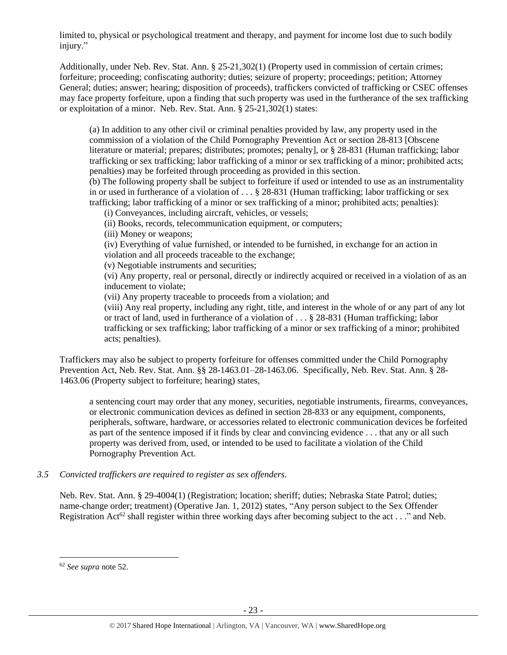limited to, physical or psychological treatment and therapy, and payment for income lost due to such bodily injury."

Additionally, under Neb. Rev. Stat. Ann. § 25-21,302(1) (Property used in commission of certain crimes; forfeiture; proceeding; confiscating authority; duties; seizure of property; proceedings; petition; Attorney General; duties; answer; hearing; disposition of proceeds), traffickers convicted of trafficking or CSEC offenses may face property forfeiture, upon a finding that such property was used in the furtherance of the sex trafficking or exploitation of a minor. Neb. Rev. Stat. Ann. § 25-21,302(1) states:

(a) In addition to any other civil or criminal penalties provided by law, any property used in the commission of a violation of the Child Pornography Prevention Act or section 28-813 [Obscene literature or material; prepares; distributes; promotes; penalty], or § 28-831 (Human trafficking; labor trafficking or sex trafficking; labor trafficking of a minor or sex trafficking of a minor; prohibited acts; penalties) may be forfeited through proceeding as provided in this section.

(b) The following property shall be subject to forfeiture if used or intended to use as an instrumentality in or used in furtherance of a violation of . . . § 28-831 (Human trafficking; labor trafficking or sex trafficking; labor trafficking of a minor or sex trafficking of a minor; prohibited acts; penalties):

(i) Conveyances, including aircraft, vehicles, or vessels;

(ii) Books, records, telecommunication equipment, or computers;

(iii) Money or weapons;

(iv) Everything of value furnished, or intended to be furnished, in exchange for an action in violation and all proceeds traceable to the exchange;

(v) Negotiable instruments and securities;

(vi) Any property, real or personal, directly or indirectly acquired or received in a violation of as an inducement to violate;

(vii) Any property traceable to proceeds from a violation; and

(viii) Any real property, including any right, title, and interest in the whole of or any part of any lot or tract of land, used in furtherance of a violation of . . . § 28-831 (Human trafficking; labor trafficking or sex trafficking; labor trafficking of a minor or sex trafficking of a minor; prohibited acts; penalties).

Traffickers may also be subject to property forfeiture for offenses committed under the Child Pornography Prevention Act, Neb. Rev. Stat. Ann. §§ 28-1463.01–28-1463.06. Specifically, Neb. Rev. Stat. Ann. § 28- 1463.06 (Property subject to forfeiture; hearing) states,

a sentencing court may order that any money, securities, negotiable instruments, firearms, conveyances, or electronic communication devices as defined in section 28-833 or any equipment, components, peripherals, software, hardware, or accessories related to electronic communication devices be forfeited as part of the sentence imposed if it finds by clear and convincing evidence . . . that any or all such property was derived from, used, or intended to be used to facilitate a violation of the Child Pornography Prevention Act.

# *3.5 Convicted traffickers are required to register as sex offenders.*

Neb. Rev. Stat. Ann. § 29-4004(1) (Registration; location; sheriff; duties; Nebraska State Patrol; duties; name-change order; treatment) (Operative Jan. 1, 2012) states, "Any person subject to the Sex Offender Registration Act<sup>62</sup> shall register within three working days after becoming subject to the act . . ." and Neb.

 $\overline{a}$ 

<sup>62</sup> *See supra* note [52.](#page-17-0)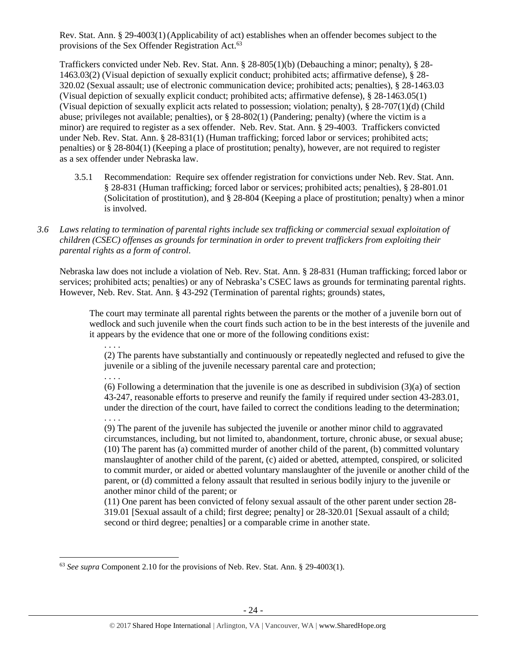Rev. Stat. Ann. § 29-4003(1)(Applicability of act) establishes when an offender becomes subject to the provisions of the Sex Offender Registration Act.<sup>63</sup>

Traffickers convicted under Neb. Rev. Stat. Ann. § 28-805(1)(b) (Debauching a minor; penalty), § 28- 1463.03(2) (Visual depiction of sexually explicit conduct; prohibited acts; affirmative defense), § 28- 320.02 (Sexual assault; use of electronic communication device; prohibited acts; penalties), § 28-1463.03 (Visual depiction of sexually explicit conduct; prohibited acts; affirmative defense), § 28-1463.05(1) (Visual depiction of sexually explicit acts related to possession; violation; penalty), § 28-707(1)(d) (Child abuse; privileges not available; penalties), or  $\S 28-802(1)$  (Pandering; penalty) (where the victim is a minor) are required to register as a sex offender. Neb. Rev. Stat. Ann. § 29-4003. Traffickers convicted under Neb. Rev. Stat. Ann. § 28-831(1) (Human trafficking; forced labor or services; prohibited acts; penalties) or § 28-804(1) (Keeping a place of prostitution; penalty), however, are not required to register as a sex offender under Nebraska law.

- 3.5.1 Recommendation: Require sex offender registration for convictions under Neb. Rev. Stat. Ann. § 28-831 (Human trafficking; forced labor or services; prohibited acts; penalties), § 28-801.01 (Solicitation of prostitution), and § 28-804 (Keeping a place of prostitution; penalty) when a minor is involved.
- *3.6 Laws relating to termination of parental rights include sex trafficking or commercial sexual exploitation of children (CSEC) offenses as grounds for termination in order to prevent traffickers from exploiting their parental rights as a form of control.*

Nebraska law does not include a violation of Neb. Rev. Stat. Ann. § 28-831 (Human trafficking; forced labor or services; prohibited acts; penalties) or any of Nebraska's CSEC laws as grounds for terminating parental rights. However, Neb. Rev. Stat. Ann. § 43-292 (Termination of parental rights; grounds) states,

The court may terminate all parental rights between the parents or the mother of a juvenile born out of wedlock and such juvenile when the court finds such action to be in the best interests of the juvenile and it appears by the evidence that one or more of the following conditions exist:

. . . . (2) The parents have substantially and continuously or repeatedly neglected and refused to give the juvenile or a sibling of the juvenile necessary parental care and protection;

. . . .

(6) Following a determination that the juvenile is one as described in subdivision (3)(a) of section 43-247, reasonable efforts to preserve and reunify the family if required under section 43-283.01, under the direction of the court, have failed to correct the conditions leading to the determination; . . . .

(9) The parent of the juvenile has subjected the juvenile or another minor child to aggravated circumstances, including, but not limited to, abandonment, torture, chronic abuse, or sexual abuse; (10) The parent has (a) committed murder of another child of the parent, (b) committed voluntary manslaughter of another child of the parent, (c) aided or abetted, attempted, conspired, or solicited to commit murder, or aided or abetted voluntary manslaughter of the juvenile or another child of the parent, or (d) committed a felony assault that resulted in serious bodily injury to the juvenile or another minor child of the parent; or

(11) One parent has been convicted of felony sexual assault of the other parent under section 28- 319.01 [Sexual assault of a child; first degree; penalty] or 28-320.01 [Sexual assault of a child; second or third degree; penalties] or a comparable crime in another state.

 $\overline{a}$ <sup>63</sup> *See supra* Component 2.10 for the provisions of Neb. Rev. Stat. Ann. § 29-4003(1).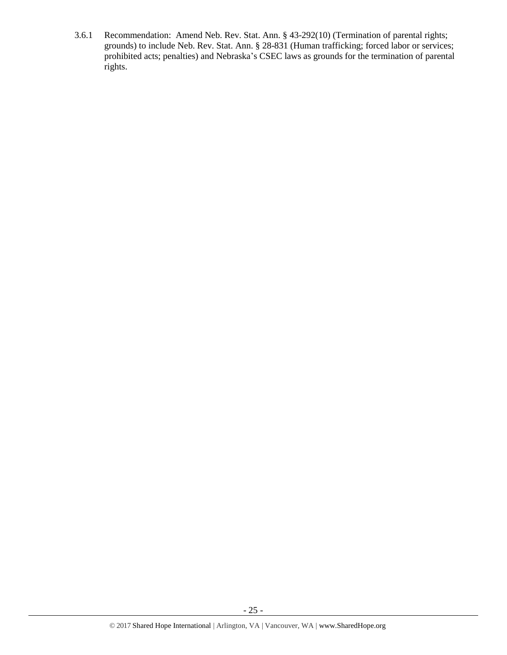3.6.1 Recommendation: Amend Neb. Rev. Stat. Ann. § 43-292(10) (Termination of parental rights; grounds) to include Neb. Rev. Stat. Ann. § 28-831 (Human trafficking; forced labor or services; prohibited acts; penalties) and Nebraska's CSEC laws as grounds for the termination of parental rights.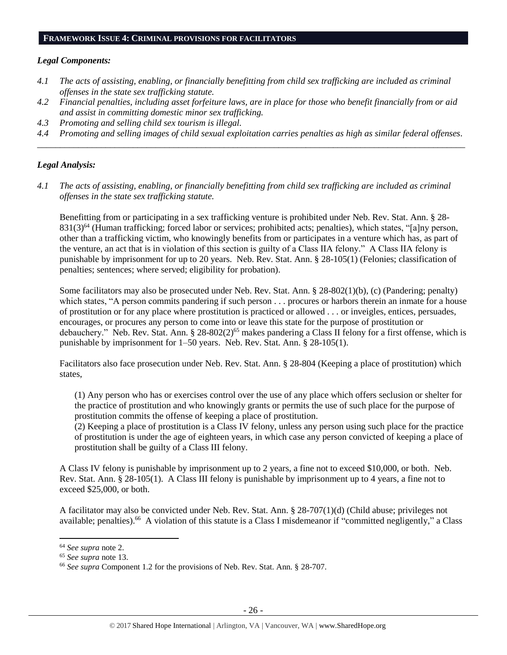#### **FRAMEWORK ISSUE 4: CRIMINAL PROVISIONS FOR FACILITATORS**

#### *Legal Components:*

- *4.1 The acts of assisting, enabling, or financially benefitting from child sex trafficking are included as criminal offenses in the state sex trafficking statute.*
- *4.2 Financial penalties, including asset forfeiture laws, are in place for those who benefit financially from or aid and assist in committing domestic minor sex trafficking.*
- *4.3 Promoting and selling child sex tourism is illegal.*
- *4.4 Promoting and selling images of child sexual exploitation carries penalties as high as similar federal offenses. \_\_\_\_\_\_\_\_\_\_\_\_\_\_\_\_\_\_\_\_\_\_\_\_\_\_\_\_\_\_\_\_\_\_\_\_\_\_\_\_\_\_\_\_\_\_\_\_\_\_\_\_\_\_\_\_\_\_\_\_\_\_\_\_\_\_\_\_\_\_\_\_\_\_\_\_\_\_\_\_\_\_\_\_\_\_\_\_\_\_\_\_\_\_*

## *Legal Analysis:*

*4.1 The acts of assisting, enabling, or financially benefitting from child sex trafficking are included as criminal offenses in the state sex trafficking statute.*

Benefitting from or participating in a sex trafficking venture is prohibited under Neb. Rev. Stat. Ann. § 28- 831(3)<sup>64</sup> (Human trafficking; forced labor or services; prohibited acts; penalties), which states, "[a]ny person, other than a trafficking victim, who knowingly benefits from or participates in a venture which has, as part of the venture, an act that is in violation of this section is guilty of a Class IIA felony." A Class IIA felony is punishable by imprisonment for up to 20 years. Neb. Rev. Stat. Ann. § 28-105(1) (Felonies; classification of penalties; sentences; where served; eligibility for probation).

Some facilitators may also be prosecuted under Neb. Rev. Stat. Ann. § 28-802(1)(b), (c) (Pandering; penalty) which states, "A person commits pandering if such person . . . procures or harbors therein an inmate for a house of prostitution or for any place where prostitution is practiced or allowed . . . or inveigles, entices, persuades, encourages, or procures any person to come into or leave this state for the purpose of prostitution or debauchery." Neb. Rev. Stat. Ann. § 28-802(2)<sup>65</sup> makes pandering a Class II felony for a first offense, which is punishable by imprisonment for 1–50 years. Neb. Rev. Stat. Ann. § 28-105(1).

Facilitators also face prosecution under Neb. Rev. Stat. Ann. § 28-804 (Keeping a place of prostitution) which states,

(1) Any person who has or exercises control over the use of any place which offers seclusion or shelter for the practice of prostitution and who knowingly grants or permits the use of such place for the purpose of prostitution commits the offense of keeping a place of prostitution.

(2) Keeping a place of prostitution is a Class IV felony, unless any person using such place for the practice of prostitution is under the age of eighteen years, in which case any person convicted of keeping a place of prostitution shall be guilty of a Class III felony.

A Class IV felony is punishable by imprisonment up to 2 years, a fine not to exceed \$10,000, or both. Neb. Rev. Stat. Ann. § 28-105(1). A Class III felony is punishable by imprisonment up to 4 years, a fine not to exceed \$25,000, or both.

A facilitator may also be convicted under Neb. Rev. Stat. Ann. § 28-707(1)(d) (Child abuse; privileges not available; penalties).<sup>66</sup> A violation of this statute is a Class I misdemeanor if "committed negligently," a Class

 $\overline{\phantom{a}}$ 

<sup>64</sup> *See supra* note [2.](#page-0-0)

<sup>65</sup> *See supra* note [13.](#page-3-0)

<sup>66</sup> *See supra* Component 1.2 for the provisions of Neb. Rev. Stat. Ann. § 28-707.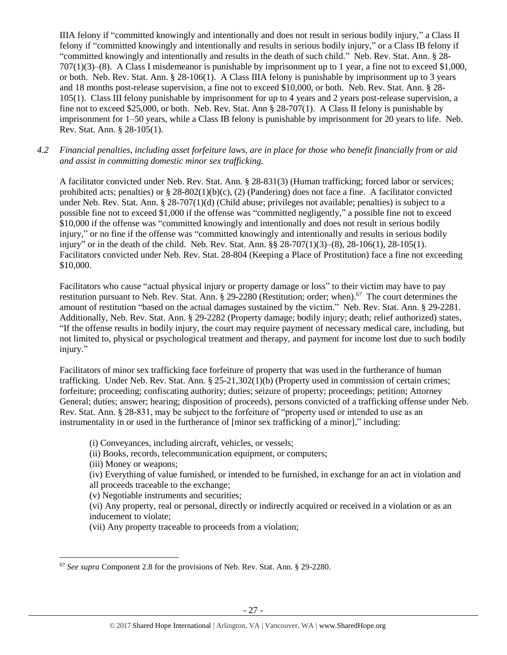IIIA felony if "committed knowingly and intentionally and does not result in serious bodily injury," a Class II felony if "committed knowingly and intentionally and results in serious bodily injury," or a Class IB felony if "committed knowingly and intentionally and results in the death of such child." Neb. Rev. Stat. Ann. § 28- 707(1)(3)–(8). A Class I misdemeanor is punishable by imprisonment up to 1 year, a fine not to exceed \$1,000, or both. Neb. Rev. Stat. Ann. § 28-106(1). A Class IIIA felony is punishable by imprisonment up to 3 years and 18 months post-release supervision, a fine not to exceed \$10,000, or both. Neb. Rev. Stat. Ann. § 28- 105(1). Class III felony punishable by imprisonment for up to 4 years and 2 years post-release supervision, a fine not to exceed \$25,000, or both. Neb. Rev. Stat. Ann § 28-707(1). A Class II felony is punishable by imprisonment for 1–50 years, while a Class IB felony is punishable by imprisonment for 20 years to life. Neb. Rev. Stat. Ann. § 28-105(1).

# *4.2 Financial penalties, including asset forfeiture laws, are in place for those who benefit financially from or aid and assist in committing domestic minor sex trafficking.*

A facilitator convicted under Neb. Rev. Stat. Ann. § 28-831(3) (Human trafficking; forced labor or services; prohibited acts; penalties) or  $\S 28-802(1)(b)(c)$ , (2) (Pandering) does not face a fine. A facilitator convicted under Neb. Rev. Stat. Ann. § 28-707(1)(d) (Child abuse; privileges not available; penalties) is subject to a possible fine not to exceed \$1,000 if the offense was "committed negligently," a possible fine not to exceed \$10,000 if the offense was "committed knowingly and intentionally and does not result in serious bodily injury," or no fine if the offense was "committed knowingly and intentionally and results in serious bodily injury" or in the death of the child. Neb. Rev. Stat. Ann. §§ 28-707(1)(3)–(8), 28-106(1), 28-105(1). Facilitators convicted under Neb. Rev. Stat. 28-804 (Keeping a Place of Prostitution) face a fine not exceeding \$10,000.

Facilitators who cause "actual physical injury or property damage or loss" to their victim may have to pay restitution pursuant to Neb. Rev. Stat. Ann. § 29-2280 (Restitution; order; when).<sup>67</sup> The court determines the amount of restitution "based on the actual damages sustained by the victim." Neb. Rev. Stat. Ann. § 29-2281. Additionally, Neb. Rev. Stat. Ann. § 29-2282 (Property damage; bodily injury; death; relief authorized) states, "If the offense results in bodily injury, the court may require payment of necessary medical care, including, but not limited to, physical or psychological treatment and therapy, and payment for income lost due to such bodily injury."

Facilitators of minor sex trafficking face forfeiture of property that was used in the furtherance of human trafficking. Under Neb. Rev. Stat. Ann. § 25-21,302(1)(b) (Property used in commission of certain crimes; forfeiture; proceeding; confiscating authority; duties; seizure of property; proceedings; petition; Attorney General; duties; answer; hearing; disposition of proceeds), persons convicted of a trafficking offense under Neb. Rev. Stat. Ann. § 28-831, may be subject to the forfeiture of "property used or intended to use as an instrumentality in or used in the furtherance of [minor sex trafficking of a minor]," including:

(i) Conveyances, including aircraft, vehicles, or vessels;

(ii) Books, records, telecommunication equipment, or computers;

(iii) Money or weapons;

(iv) Everything of value furnished, or intended to be furnished, in exchange for an act in violation and all proceeds traceable to the exchange;

(v) Negotiable instruments and securities;

(vi) Any property, real or personal, directly or indirectly acquired or received in a violation or as an inducement to violate;

(vii) Any property traceable to proceeds from a violation;

 $\overline{a}$ <sup>67</sup> *See supra* Component 2.8 for the provisions of Neb. Rev. Stat. Ann. § 29-2280.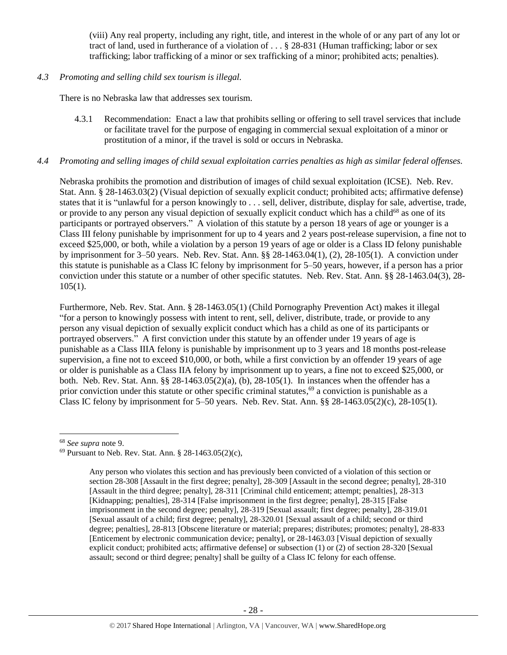(viii) Any real property, including any right, title, and interest in the whole of or any part of any lot or tract of land, used in furtherance of a violation of . . . § 28-831 (Human trafficking; labor or sex trafficking; labor trafficking of a minor or sex trafficking of a minor; prohibited acts; penalties).

*4.3 Promoting and selling child sex tourism is illegal.*

There is no Nebraska law that addresses sex tourism.

4.3.1 Recommendation: Enact a law that prohibits selling or offering to sell travel services that include or facilitate travel for the purpose of engaging in commercial sexual exploitation of a minor or prostitution of a minor, if the travel is sold or occurs in Nebraska.

## *4.4 Promoting and selling images of child sexual exploitation carries penalties as high as similar federal offenses.*

Nebraska prohibits the promotion and distribution of images of child sexual exploitation (ICSE). Neb. Rev. Stat. Ann. § 28-1463.03(2) (Visual depiction of sexually explicit conduct; prohibited acts; affirmative defense) states that it is "unlawful for a person knowingly to . . . sell, deliver, distribute, display for sale, advertise, trade, or provide to any person any visual depiction of sexually explicit conduct which has a child<sup>68</sup> as one of its participants or portrayed observers." A violation of this statute by a person 18 years of age or younger is a Class III felony punishable by imprisonment for up to 4 years and 2 years post-release supervision, a fine not to exceed \$25,000, or both, while a violation by a person 19 years of age or older is a Class ID felony punishable by imprisonment for 3–50 years. Neb. Rev. Stat. Ann. §§ 28-1463.04(1), (2), 28-105(1). A conviction under this statute is punishable as a Class IC felony by imprisonment for 5–50 years, however, if a person has a prior conviction under this statute or a number of other specific statutes. Neb. Rev. Stat. Ann. §§ 28-1463.04(3), 28-  $105(1)$ .

Furthermore, Neb. Rev. Stat. Ann. § 28-1463.05(1) (Child Pornography Prevention Act) makes it illegal "for a person to knowingly possess with intent to rent, sell, deliver, distribute, trade, or provide to any person any visual depiction of sexually explicit conduct which has a child as one of its participants or portrayed observers." A first conviction under this statute by an offender under 19 years of age is punishable as a Class IIIA felony is punishable by imprisonment up to 3 years and 18 months post-release supervision, a fine not to exceed \$10,000, or both, while a first conviction by an offender 19 years of age or older is punishable as a Class IIA felony by imprisonment up to years, a fine not to exceed \$25,000, or both. Neb. Rev. Stat. Ann. §§ 28-1463.05(2)(a), (b), 28-105(1). In instances when the offender has a prior conviction under this statute or other specific criminal statutes,<sup>69</sup> a conviction is punishable as a Class IC felony by imprisonment for  $5-50$  years. Neb. Rev. Stat. Ann. §§ 28-1463.05(2)(c), 28-105(1).

l

<sup>68</sup> *See supra* note [9.](#page-2-2)

 $69$  Pursuant to Neb. Rev. Stat. Ann. § 28-1463.05(2)(c),

Any person who violates this section and has previously been convicted of a violation of this section or section 28-308 [Assault in the first degree; penalty], 28-309 [Assault in the second degree; penalty], 28-310 [Assault in the third degree; penalty], 28-311 [Criminal child enticement; attempt; penalties], 28-313 [Kidnapping; penalties], 28-314 [False imprisonment in the first degree; penalty], 28-315 [False imprisonment in the second degree; penalty], 28-319 [Sexual assault; first degree; penalty], 28-319.01 [Sexual assault of a child; first degree; penalty], 28-320.01 [Sexual assault of a child; second or third degree; penalties], 28-813 [Obscene literature or material; prepares; distributes; promotes; penalty], 28-833 [Enticement by electronic communication device; penalty], or 28-1463.03 [Visual depiction of sexually explicit conduct; prohibited acts; affirmative defense] or subsection (1) or (2) of section 28-320 [Sexual assault; second or third degree; penalty] shall be guilty of a Class IC felony for each offense.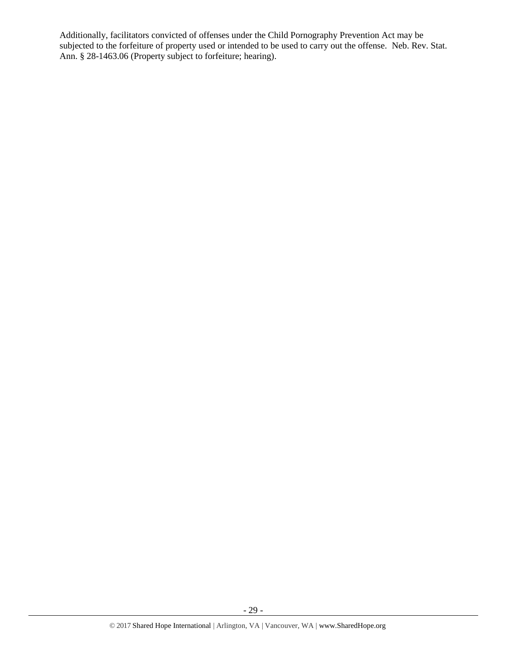Additionally, facilitators convicted of offenses under the Child Pornography Prevention Act may be subjected to the forfeiture of property used or intended to be used to carry out the offense. Neb. Rev. Stat. Ann. § 28-1463.06 (Property subject to forfeiture; hearing).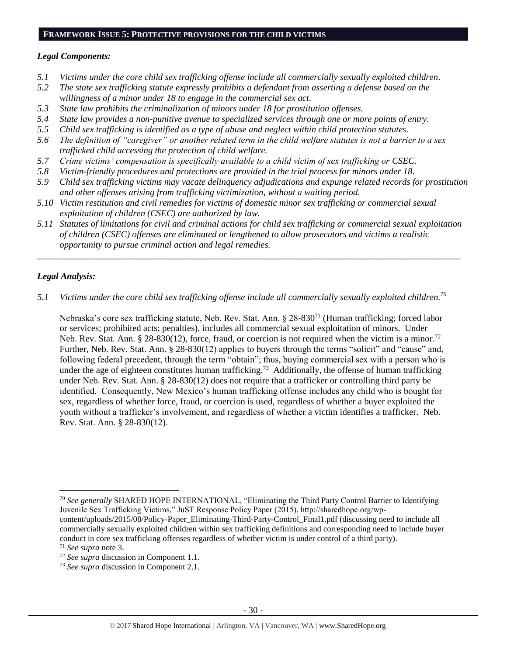#### **FRAMEWORK ISSUE 5: PROTECTIVE PROVISIONS FOR THE CHILD VICTIMS**

# *Legal Components:*

- *5.1 Victims under the core child sex trafficking offense include all commercially sexually exploited children.*
- *5.2 The state sex trafficking statute expressly prohibits a defendant from asserting a defense based on the willingness of a minor under 18 to engage in the commercial sex act.*
- *5.3 State law prohibits the criminalization of minors under 18 for prostitution offenses.*
- *5.4 State law provides a non-punitive avenue to specialized services through one or more points of entry.*
- *5.5 Child sex trafficking is identified as a type of abuse and neglect within child protection statutes.*
- *5.6 The definition of "caregiver" or another related term in the child welfare statutes is not a barrier to a sex trafficked child accessing the protection of child welfare.*
- *5.7 Crime victims' compensation is specifically available to a child victim of sex trafficking or CSEC.*
- *5.8 Victim-friendly procedures and protections are provided in the trial process for minors under 18.*
- *5.9 Child sex trafficking victims may vacate delinquency adjudications and expunge related records for prostitution and other offenses arising from trafficking victimization, without a waiting period.*
- *5.10 Victim restitution and civil remedies for victims of domestic minor sex trafficking or commercial sexual exploitation of children (CSEC) are authorized by law.*
- *5.11 Statutes of limitations for civil and criminal actions for child sex trafficking or commercial sexual exploitation of children (CSEC) offenses are eliminated or lengthened to allow prosecutors and victims a realistic opportunity to pursue criminal action and legal remedies.*

*\_\_\_\_\_\_\_\_\_\_\_\_\_\_\_\_\_\_\_\_\_\_\_\_\_\_\_\_\_\_\_\_\_\_\_\_\_\_\_\_\_\_\_\_\_\_\_\_\_\_\_\_\_\_\_\_\_\_\_\_\_\_\_\_\_\_\_\_\_\_\_\_\_\_\_\_\_\_\_\_\_\_\_\_\_\_\_\_\_\_\_\_\_*

# *Legal Analysis:*

*5.1 Victims under the core child sex trafficking offense include all commercially sexually exploited children.<sup>70</sup>*

Nebraska's core sex trafficking statute, Neb. Rev. Stat. Ann. § 28-830<sup>71</sup> (Human trafficking; forced labor or services; prohibited acts; penalties), includes all commercial sexual exploitation of minors. Under Neb. Rev. Stat. Ann. § 28-830(12), force, fraud, or coercion is not required when the victim is a minor.<sup>72</sup> Further, Neb. Rev. Stat. Ann. § 28-830(12) applies to buyers through the terms "solicit" and "cause" and, following federal precedent, through the term "obtain"; thus, buying commercial sex with a person who is under the age of eighteen constitutes human trafficking.<sup>73</sup> Additionally, the offense of human trafficking under Neb. Rev. Stat. Ann. § 28-830(12) does not require that a trafficker or controlling third party be identified. Consequently, New Mexico's human trafficking offense includes any child who is bought for sex, regardless of whether force, fraud, or coercion is used, regardless of whether a buyer exploited the youth without a trafficker's involvement, and regardless of whether a victim identifies a trafficker. Neb. Rev. Stat. Ann. § 28-830(12).

l

<sup>70</sup> *See generally* SHARED HOPE INTERNATIONAL, "Eliminating the Third Party Control Barrier to Identifying Juvenile Sex Trafficking Victims," JuST Response Policy Paper (2015), http://sharedhope.org/wp-

content/uploads/2015/08/Policy-Paper\_Eliminating-Third-Party-Control\_Final1.pdf (discussing need to include all commercially sexually exploited children within sex trafficking definitions and corresponding need to include buyer conduct in core sex trafficking offenses regardless of whether victim is under control of a third party).

<sup>71</sup> *See supra* note [3.](#page-1-0)

<sup>72</sup> *See supra* discussion in Component 1.1.

<sup>73</sup> *See supra* discussion in Component 2.1.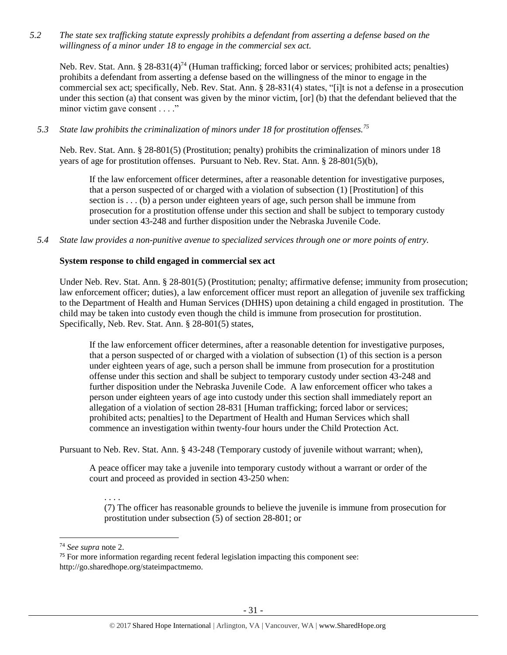*5.2 The state sex trafficking statute expressly prohibits a defendant from asserting a defense based on the willingness of a minor under 18 to engage in the commercial sex act.* 

Neb. Rev. Stat. Ann. § 28-831(4)<sup>74</sup> (Human trafficking; forced labor or services; prohibited acts; penalties) prohibits a defendant from asserting a defense based on the willingness of the minor to engage in the commercial sex act; specifically, Neb. Rev. Stat. Ann. § 28-831(4) states, "[i]t is not a defense in a prosecution under this section (a) that consent was given by the minor victim, [or] (b) that the defendant believed that the minor victim gave consent . . . ."

*5.3 State law prohibits the criminalization of minors under 18 for prostitution offenses.<sup>75</sup>*

Neb. Rev. Stat. Ann. § 28-801(5) (Prostitution; penalty) prohibits the criminalization of minors under 18 years of age for prostitution offenses. Pursuant to Neb. Rev. Stat. Ann. § 28-801(5)(b),

If the law enforcement officer determines, after a reasonable detention for investigative purposes, that a person suspected of or charged with a violation of subsection (1) [Prostitution] of this section is  $\dots$  (b) a person under eighteen years of age, such person shall be immune from prosecution for a prostitution offense under this section and shall be subject to temporary custody under section 43-248 and further disposition under the Nebraska Juvenile Code.

*5.4 State law provides a non-punitive avenue to specialized services through one or more points of entry.*

## **System response to child engaged in commercial sex act**

Under Neb. Rev. Stat. Ann. § 28-801(5) (Prostitution; penalty; affirmative defense; immunity from prosecution; law enforcement officer; duties), a law enforcement officer must report an allegation of juvenile sex trafficking to the Department of Health and Human Services (DHHS) upon detaining a child engaged in prostitution. The child may be taken into custody even though the child is immune from prosecution for prostitution. Specifically, Neb. Rev. Stat. Ann. § 28-801(5) states,

If the law enforcement officer determines, after a reasonable detention for investigative purposes, that a person suspected of or charged with a violation of subsection (1) of this section is a person under eighteen years of age, such a person shall be immune from prosecution for a prostitution offense under this section and shall be subject to temporary custody under section 43-248 and further disposition under the Nebraska Juvenile Code. A law enforcement officer who takes a person under eighteen years of age into custody under this section shall immediately report an allegation of a violation of section 28-831 [Human trafficking; forced labor or services; prohibited acts; penalties] to the Department of Health and Human Services which shall commence an investigation within twenty-four hours under the Child Protection Act.

Pursuant to Neb. Rev. Stat. Ann. § 43-248 (Temporary custody of juvenile without warrant; when),

A peace officer may take a juvenile into temporary custody without a warrant or order of the court and proceed as provided in section 43-250 when:

. . . . (7) The officer has reasonable grounds to believe the juvenile is immune from prosecution for prostitution under subsection (5) of section 28-801; or

 $\overline{\phantom{a}}$ 

<sup>74</sup> *See supra* note [2.](#page-0-0)

<sup>&</sup>lt;sup>75</sup> For more information regarding recent federal legislation impacting this component see: http://go.sharedhope.org/stateimpactmemo.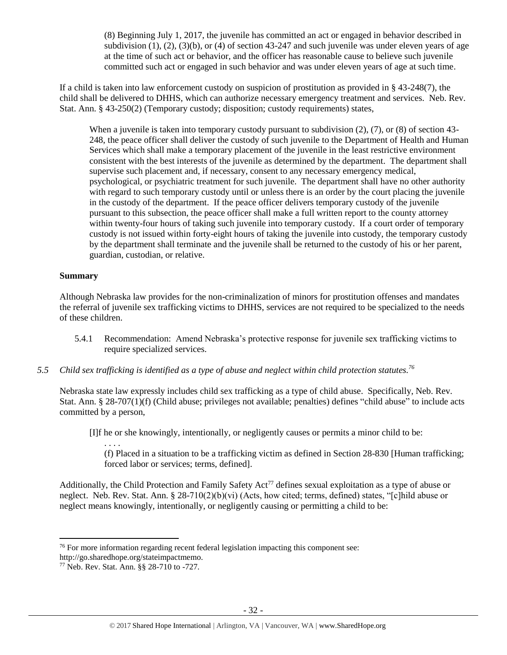(8) Beginning July 1, 2017, the juvenile has committed an act or engaged in behavior described in subdivision  $(1)$ ,  $(2)$ ,  $(3)(b)$ , or  $(4)$  of section 43-247 and such juvenile was under eleven years of age at the time of such act or behavior, and the officer has reasonable cause to believe such juvenile committed such act or engaged in such behavior and was under eleven years of age at such time.

If a child is taken into law enforcement custody on suspicion of prostitution as provided in § 43-248(7), the child shall be delivered to DHHS, which can authorize necessary emergency treatment and services. Neb. Rev. Stat. Ann. § 43-250(2) (Temporary custody; disposition; custody requirements) states,

When a juvenile is taken into temporary custody pursuant to subdivision (2), (7), or (8) of section 43-248, the peace officer shall deliver the custody of such juvenile to the Department of Health and Human Services which shall make a temporary placement of the juvenile in the least restrictive environment consistent with the best interests of the juvenile as determined by the department. The department shall supervise such placement and, if necessary, consent to any necessary emergency medical, psychological, or psychiatric treatment for such juvenile. The department shall have no other authority with regard to such temporary custody until or unless there is an order by the court placing the juvenile in the custody of the department. If the peace officer delivers temporary custody of the juvenile pursuant to this subsection, the peace officer shall make a full written report to the county attorney within twenty-four hours of taking such juvenile into temporary custody. If a court order of temporary custody is not issued within forty-eight hours of taking the juvenile into custody, the temporary custody by the department shall terminate and the juvenile shall be returned to the custody of his or her parent, guardian, custodian, or relative.

## **Summary**

 $\overline{\phantom{a}}$ 

Although Nebraska law provides for the non-criminalization of minors for prostitution offenses and mandates the referral of juvenile sex trafficking victims to DHHS, services are not required to be specialized to the needs of these children.

- 5.4.1 Recommendation: Amend Nebraska's protective response for juvenile sex trafficking victims to require specialized services.
- *5.5 Child sex trafficking is identified as a type of abuse and neglect within child protection statutes.<sup>76</sup>*

Nebraska state law expressly includes child sex trafficking as a type of child abuse. Specifically, Neb. Rev. Stat. Ann. § 28-707(1)(f) (Child abuse; privileges not available; penalties) defines "child abuse" to include acts committed by a person,

[I]f he or she knowingly, intentionally, or negligently causes or permits a minor child to be:

<span id="page-31-0"></span>. . . . (f) Placed in a situation to be a trafficking victim as defined in Section 28-830 [Human trafficking; forced labor or services; terms, defined].

Additionally, the Child Protection and Family Safety Act<sup>77</sup> defines sexual exploitation as a type of abuse or neglect. Neb. Rev. Stat. Ann. § 28-710(2)(b)(vi) (Acts, how cited; terms, defined) states, "[c]hild abuse or neglect means knowingly, intentionally, or negligently causing or permitting a child to be:

<sup>&</sup>lt;sup>76</sup> For more information regarding recent federal legislation impacting this component see:

http://go.sharedhope.org/stateimpactmemo.

<sup>77</sup> Neb. Rev. Stat. Ann. §§ 28-710 to -727.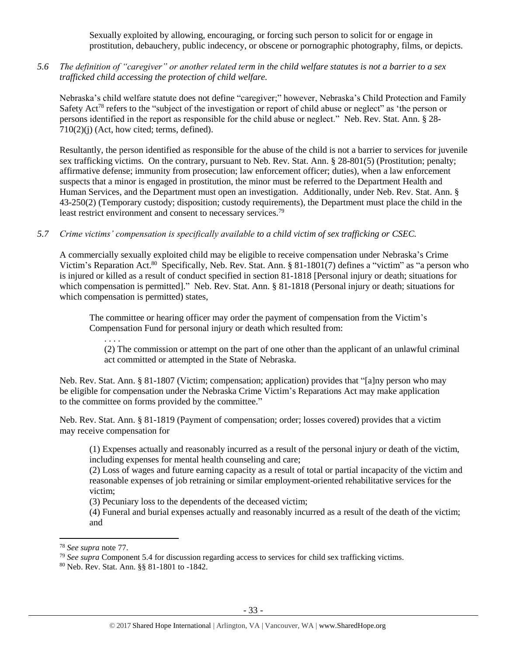Sexually exploited by allowing, encouraging, or forcing such person to solicit for or engage in prostitution, debauchery, public indecency, or obscene or pornographic photography, films, or depicts.

*5.6 The definition of "caregiver" or another related term in the child welfare statutes is not a barrier to a sex trafficked child accessing the protection of child welfare.*

Nebraska's child welfare statute does not define "caregiver;" however, Nebraska's Child Protection and Family Safety Act<sup>78</sup> refers to the "subject of the investigation or report of child abuse or neglect" as 'the person or persons identified in the report as responsible for the child abuse or neglect." Neb. Rev. Stat. Ann. § 28-  $710(2)(i)$  (Act, how cited; terms, defined).

Resultantly, the person identified as responsible for the abuse of the child is not a barrier to services for juvenile sex trafficking victims. On the contrary, pursuant to Neb. Rev. Stat. Ann. § 28-801(5) (Prostitution; penalty; affirmative defense; immunity from prosecution; law enforcement officer; duties), when a law enforcement suspects that a minor is engaged in prostitution, the minor must be referred to the Department Health and Human Services, and the Department must open an investigation. Additionally, under Neb. Rev. Stat. Ann. § 43-250(2) (Temporary custody; disposition; custody requirements), the Department must place the child in the least restrict environment and consent to necessary services.<sup>79</sup>

### *5.7 Crime victims' compensation is specifically available to a child victim of sex trafficking or CSEC.*

A commercially sexually exploited child may be eligible to receive compensation under Nebraska's Crime Victim's Reparation Act.<sup>80</sup> Specifically, Neb. Rev. Stat. Ann. § 81-1801(7) defines a "victim" as "a person who is injured or killed as a result of conduct specified in section 81-1818 [Personal injury or death; situations for which compensation is permitted]." Neb. Rev. Stat. Ann. § 81-1818 (Personal injury or death; situations for which compensation is permitted) states,

The committee or hearing officer may order the payment of compensation from the Victim's Compensation Fund for personal injury or death which resulted from:

. . . .

(2) The commission or attempt on the part of one other than the applicant of an unlawful criminal act committed or attempted in the State of Nebraska.

Neb. Rev. Stat. Ann. § 81-1807 (Victim; compensation; application) provides that "[a]ny person who may be eligible for compensation under the Nebraska Crime Victim's Reparations Act may make application to the committee on forms provided by the committee."

Neb. Rev. Stat. Ann. § 81-1819 (Payment of compensation; order; losses covered) provides that a victim may receive compensation for

(1) Expenses actually and reasonably incurred as a result of the personal injury or death of the victim, including expenses for mental health counseling and care;

(2) Loss of wages and future earning capacity as a result of total or partial incapacity of the victim and reasonable expenses of job retraining or similar employment-oriented rehabilitative services for the victim;

(3) Pecuniary loss to the dependents of the deceased victim;

(4) Funeral and burial expenses actually and reasonably incurred as a result of the death of the victim; and

 $\overline{\phantom{a}}$ 

<sup>80</sup> Neb. Rev. Stat. Ann. §§ 81-1801 to -1842.

<sup>78</sup> *See supra* note [77.](#page-31-0)

<sup>&</sup>lt;sup>79</sup> See supra Component 5.4 for discussion regarding access to services for child sex trafficking victims.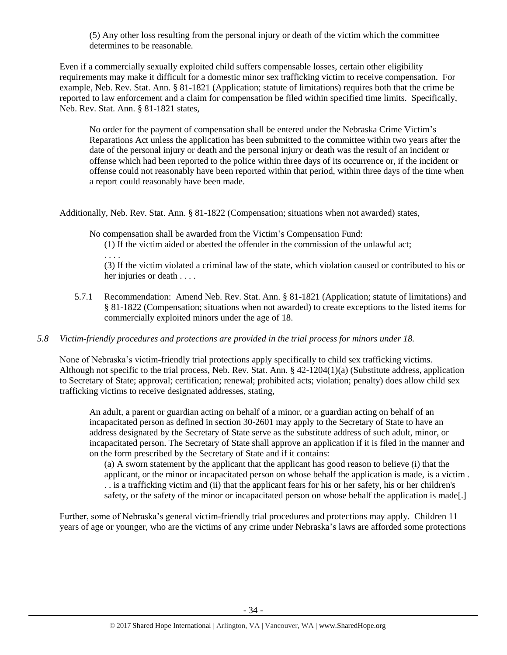(5) Any other loss resulting from the personal injury or death of the victim which the committee determines to be reasonable.

Even if a commercially sexually exploited child suffers compensable losses, certain other eligibility requirements may make it difficult for a domestic minor sex trafficking victim to receive compensation. For example, Neb. Rev. Stat. Ann. § 81-1821 (Application; statute of limitations) requires both that the crime be reported to law enforcement and a claim for compensation be filed within specified time limits. Specifically, Neb. Rev. Stat. Ann. § 81-1821 states,

No order for the payment of compensation shall be entered under the Nebraska Crime Victim's Reparations Act unless the application has been submitted to the committee within two years after the date of the personal injury or death and the personal injury or death was the result of an incident or offense which had been reported to the police within three days of its occurrence or, if the incident or offense could not reasonably have been reported within that period, within three days of the time when a report could reasonably have been made.

Additionally, Neb. Rev. Stat. Ann. § 81-1822 (Compensation; situations when not awarded) states,

No compensation shall be awarded from the Victim's Compensation Fund:

. . . .

(1) If the victim aided or abetted the offender in the commission of the unlawful act;

(3) If the victim violated a criminal law of the state, which violation caused or contributed to his or her injuries or death . . . .

5.7.1 Recommendation: Amend Neb. Rev. Stat. Ann. § 81-1821 (Application; statute of limitations) and § 81-1822 (Compensation; situations when not awarded) to create exceptions to the listed items for commercially exploited minors under the age of 18.

## *5.8 Victim-friendly procedures and protections are provided in the trial process for minors under 18.*

None of Nebraska's victim-friendly trial protections apply specifically to child sex trafficking victims. Although not specific to the trial process, Neb. Rev. Stat. Ann. § 42-1204(1)(a) (Substitute address, application to Secretary of State; approval; certification; renewal; prohibited acts; violation; penalty) does allow child sex trafficking victims to receive designated addresses, stating,

An adult, a parent or guardian acting on behalf of a minor, or a guardian acting on behalf of an incapacitated person as defined in section 30-2601 may apply to the Secretary of State to have an address designated by the Secretary of State serve as the substitute address of such adult, minor, or incapacitated person. The Secretary of State shall approve an application if it is filed in the manner and on the form prescribed by the Secretary of State and if it contains:

(a) A sworn statement by the applicant that the applicant has good reason to believe (i) that the applicant, or the minor or incapacitated person on whose behalf the application is made, is a victim . . . is a trafficking victim and (ii) that the applicant fears for his or her safety, his or her children's safety, or the safety of the minor or incapacitated person on whose behalf the application is made[.]

Further, some of Nebraska's general victim-friendly trial procedures and protections may apply. Children 11 years of age or younger, who are the victims of any crime under Nebraska's laws are afforded some protections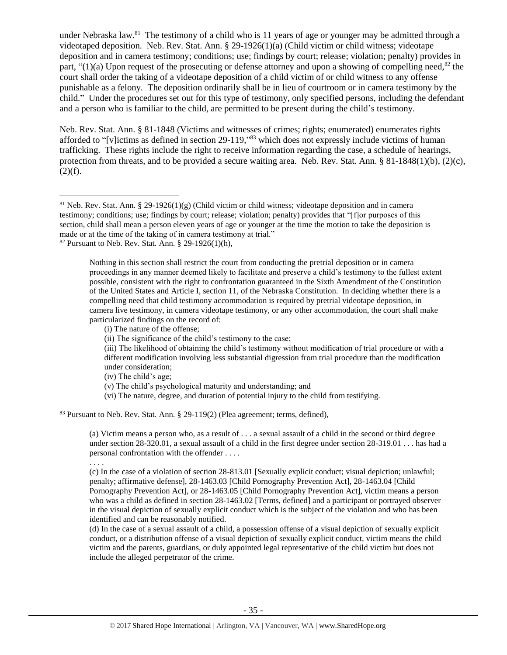under Nebraska law.<sup>81</sup> The testimony of a child who is 11 years of age or younger may be admitted through a videotaped deposition. Neb. Rev. Stat. Ann. § 29-1926(1)(a) (Child victim or child witness; videotape deposition and in camera testimony; conditions; use; findings by court; release; violation; penalty) provides in part, " $(1)(a)$  Upon request of the prosecuting or defense attorney and upon a showing of compelling need,<sup>82</sup> the court shall order the taking of a videotape deposition of a child victim of or child witness to any offense punishable as a felony. The deposition ordinarily shall be in lieu of courtroom or in camera testimony by the child." Under the procedures set out for this type of testimony, only specified persons, including the defendant and a person who is familiar to the child, are permitted to be present during the child's testimony.

Neb. Rev. Stat. Ann. § 81-1848 (Victims and witnesses of crimes; rights; enumerated) enumerates rights afforded to "[v]ictims as defined in section 29-119,"<sup>83</sup> which does not expressly include victims of human trafficking. These rights include the right to receive information regarding the case, a schedule of hearings, protection from threats, and to be provided a secure waiting area. Neb. Rev. Stat. Ann. § 81-1848(1)(b), (2)(c),  $(2)(f)$ .

(vi) The nature, degree, and duration of potential injury to the child from testifying.

<sup>83</sup> Pursuant to Neb. Rev. Stat. Ann. § 29-119(2) (Plea agreement; terms, defined),

(a) Victim means a person who, as a result of . . . a sexual assault of a child in the second or third degree under section 28-320.01, a sexual assault of a child in the first degree under section 28-319.01 . . . has had a personal confrontation with the offender . . . .

. . . .

 $\overline{\phantom{a}}$ 

(c) In the case of a violation of section 28-813.01 [Sexually explicit conduct; visual depiction; unlawful; penalty; affirmative defense], 28-1463.03 [Child Pornography Prevention Act], 28-1463.04 [Child Pornography Prevention Act], or 28-1463.05 [Child Pornography Prevention Act], victim means a person who was a child as defined in section 28-1463.02 [Terms, defined] and a participant or portrayed observer in the visual depiction of sexually explicit conduct which is the subject of the violation and who has been identified and can be reasonably notified.

(d) In the case of a sexual assault of a child, a possession offense of a visual depiction of sexually explicit conduct, or a distribution offense of a visual depiction of sexually explicit conduct, victim means the child victim and the parents, guardians, or duly appointed legal representative of the child victim but does not include the alleged perpetrator of the crime.

<sup>&</sup>lt;sup>81</sup> Neb. Rev. Stat. Ann. § 29-1926(1)(g) (Child victim or child witness; videotape deposition and in camera testimony; conditions; use; findings by court; release; violation; penalty) provides that "[f]or purposes of this section, child shall mean a person eleven years of age or younger at the time the motion to take the deposition is made or at the time of the taking of in camera testimony at trial."

 $82$  Pursuant to Neb. Rev. Stat. Ann. § 29-1926(1)(h),

Nothing in this section shall restrict the court from conducting the pretrial deposition or in camera proceedings in any manner deemed likely to facilitate and preserve a child's testimony to the fullest extent possible, consistent with the right to confrontation guaranteed in the Sixth Amendment of the Constitution of the United States and Article I, section 11, of the Nebraska Constitution. In deciding whether there is a compelling need that child testimony accommodation is required by pretrial videotape deposition, in camera live testimony, in camera videotape testimony, or any other accommodation, the court shall make particularized findings on the record of:

<sup>(</sup>i) The nature of the offense;

<sup>(</sup>ii) The significance of the child's testimony to the case;

<sup>(</sup>iii) The likelihood of obtaining the child's testimony without modification of trial procedure or with a different modification involving less substantial digression from trial procedure than the modification under consideration;

<sup>(</sup>iv) The child's age;

<sup>(</sup>v) The child's psychological maturity and understanding; and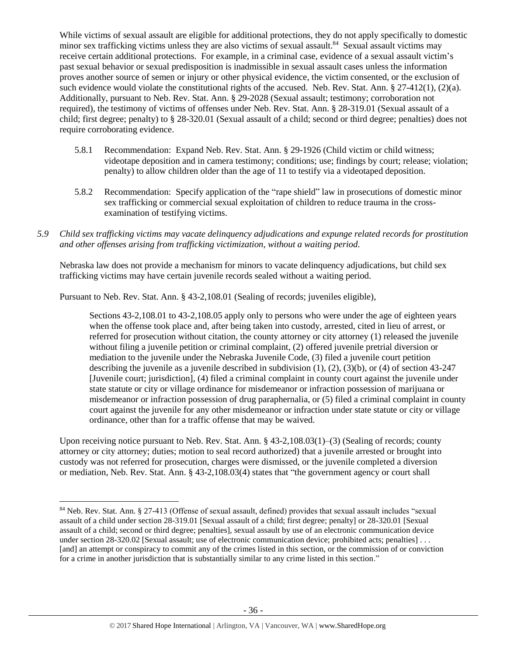While victims of sexual assault are eligible for additional protections, they do not apply specifically to domestic minor sex trafficking victims unless they are also victims of sexual assault.<sup>84</sup> Sexual assault victims may receive certain additional protections. For example, in a criminal case, evidence of a sexual assault victim's past sexual behavior or sexual predisposition is inadmissible in sexual assault cases unless the information proves another source of semen or injury or other physical evidence, the victim consented, or the exclusion of such evidence would violate the constitutional rights of the accused. Neb. Rev. Stat. Ann. § 27-412(1), (2)(a). Additionally, pursuant to Neb. Rev. Stat. Ann. § 29-2028 (Sexual assault; testimony; corroboration not required), the testimony of victims of offenses under Neb. Rev. Stat. Ann. § 28-319.01 (Sexual assault of a child; first degree; penalty) to § 28-320.01 (Sexual assault of a child; second or third degree; penalties) does not require corroborating evidence.

- 5.8.1 Recommendation: Expand Neb. Rev. Stat. Ann. § 29-1926 (Child victim or child witness; videotape deposition and in camera testimony; conditions; use; findings by court; release; violation; penalty) to allow children older than the age of 11 to testify via a videotaped deposition.
- 5.8.2 Recommendation: Specify application of the "rape shield" law in prosecutions of domestic minor sex trafficking or commercial sexual exploitation of children to reduce trauma in the crossexamination of testifying victims.
- *5.9 Child sex trafficking victims may vacate delinquency adjudications and expunge related records for prostitution and other offenses arising from trafficking victimization, without a waiting period.*

Nebraska law does not provide a mechanism for minors to vacate delinquency adjudications, but child sex trafficking victims may have certain juvenile records sealed without a waiting period.

Pursuant to Neb. Rev. Stat. Ann. § 43-2,108.01 (Sealing of records; juveniles eligible),

Sections 43-2,108.01 to 43-2,108.05 apply only to persons who were under the age of eighteen years when the offense took place and, after being taken into custody, arrested, cited in lieu of arrest, or referred for prosecution without citation, the county attorney or city attorney (1) released the juvenile without filing a juvenile petition or criminal complaint, (2) offered juvenile pretrial diversion or mediation to the juvenile under the Nebraska Juvenile Code, (3) filed a juvenile court petition describing the juvenile as a juvenile described in subdivision (1), (2), (3)(b), or (4) of section 43-247 [Juvenile court; jurisdiction], (4) filed a criminal complaint in county court against the juvenile under state statute or city or village ordinance for misdemeanor or infraction possession of marijuana or misdemeanor or infraction possession of drug paraphernalia, or (5) filed a criminal complaint in county court against the juvenile for any other misdemeanor or infraction under state statute or city or village ordinance, other than for a traffic offense that may be waived.

Upon receiving notice pursuant to Neb. Rev. Stat. Ann. § 43-2,108.03(1)–(3) (Sealing of records; county attorney or city attorney; duties; motion to seal record authorized) that a juvenile arrested or brought into custody was not referred for prosecution, charges were dismissed, or the juvenile completed a diversion or mediation, Neb. Rev. Stat. Ann. § 43-2,108.03(4) states that "the government agency or court shall

 $\overline{\phantom{a}}$ 

<sup>84</sup> Neb. Rev. Stat. Ann. § 27-413 (Offense of sexual assault, defined) provides that sexual assault includes "sexual assault of a child under section 28-319.01 [Sexual assault of a child; first degree; penalty] or 28-320.01 [Sexual assault of a child; second or third degree; penalties], sexual assault by use of an electronic communication device under section 28-320.02 [Sexual assault; use of electronic communication device; prohibited acts; penalties] . . . [and] an attempt or conspiracy to commit any of the crimes listed in this section, or the commission of or conviction for a crime in another jurisdiction that is substantially similar to any crime listed in this section."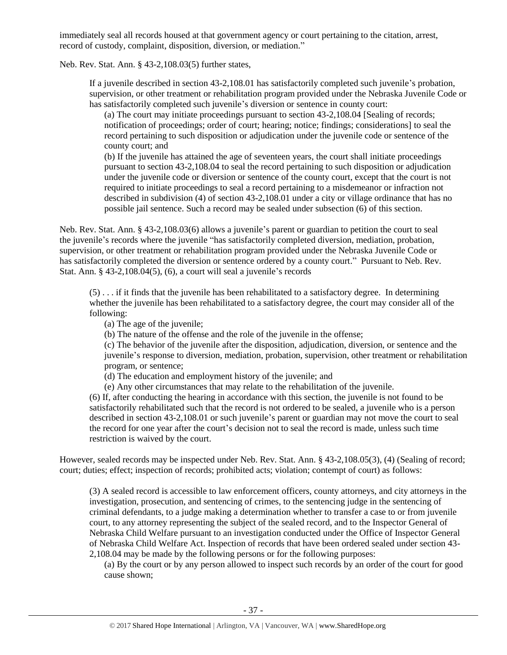immediately seal all records housed at that government agency or court pertaining to the citation, arrest, record of custody, complaint, disposition, diversion, or mediation."

Neb. Rev. Stat. Ann. § 43-2,108.03(5) further states,

If a juvenile described in section 43-2,108.01 has satisfactorily completed such juvenile's probation, supervision, or other treatment or rehabilitation program provided under the Nebraska Juvenile Code or has satisfactorily completed such juvenile's diversion or sentence in county court:

(a) The court may initiate proceedings pursuant to section 43-2,108.04 [Sealing of records; notification of proceedings; order of court; hearing; notice; findings; considerations] to seal the record pertaining to such disposition or adjudication under the juvenile code or sentence of the county court; and

(b) If the juvenile has attained the age of seventeen years, the court shall initiate proceedings pursuant to section 43-2,108.04 to seal the record pertaining to such disposition or adjudication under the juvenile code or diversion or sentence of the county court, except that the court is not required to initiate proceedings to seal a record pertaining to a misdemeanor or infraction not described in subdivision (4) of section 43-2,108.01 under a city or village ordinance that has no possible jail sentence. Such a record may be sealed under subsection (6) of this section.

Neb. Rev. Stat. Ann. § 43-2,108.03(6) allows a juvenile's parent or guardian to petition the court to seal the juvenile's records where the juvenile "has satisfactorily completed diversion, mediation, probation, supervision, or other treatment or rehabilitation program provided under the Nebraska Juvenile Code or has satisfactorily completed the diversion or sentence ordered by a county court." Pursuant to Neb. Rev. Stat. Ann. § 43-2,108.04(5), (6), a court will seal a juvenile's records

(5) . . . if it finds that the juvenile has been rehabilitated to a satisfactory degree. In determining whether the juvenile has been rehabilitated to a satisfactory degree, the court may consider all of the following:

- (a) The age of the juvenile;
- (b) The nature of the offense and the role of the juvenile in the offense;

(c) The behavior of the juvenile after the disposition, adjudication, diversion, or sentence and the juvenile's response to diversion, mediation, probation, supervision, other treatment or rehabilitation program, or sentence;

- (d) The education and employment history of the juvenile; and
- (e) Any other circumstances that may relate to the rehabilitation of the juvenile.

(6) If, after conducting the hearing in accordance with this section, the juvenile is not found to be satisfactorily rehabilitated such that the record is not ordered to be sealed, a juvenile who is a person described in section 43-2,108.01 or such juvenile's parent or guardian may not move the court to seal the record for one year after the court's decision not to seal the record is made, unless such time restriction is waived by the court.

However, sealed records may be inspected under Neb. Rev. Stat. Ann. § 43-2,108.05(3), (4) (Sealing of record; court; duties; effect; inspection of records; prohibited acts; violation; contempt of court) as follows:

(3) A sealed record is accessible to law enforcement officers, county attorneys, and city attorneys in the investigation, prosecution, and sentencing of crimes, to the sentencing judge in the sentencing of criminal defendants, to a judge making a determination whether to transfer a case to or from juvenile court, to any attorney representing the subject of the sealed record, and to the Inspector General of Nebraska Child Welfare pursuant to an investigation conducted under the Office of Inspector General of Nebraska Child Welfare Act. Inspection of records that have been ordered sealed under section 43- 2,108.04 may be made by the following persons or for the following purposes:

(a) By the court or by any person allowed to inspect such records by an order of the court for good cause shown;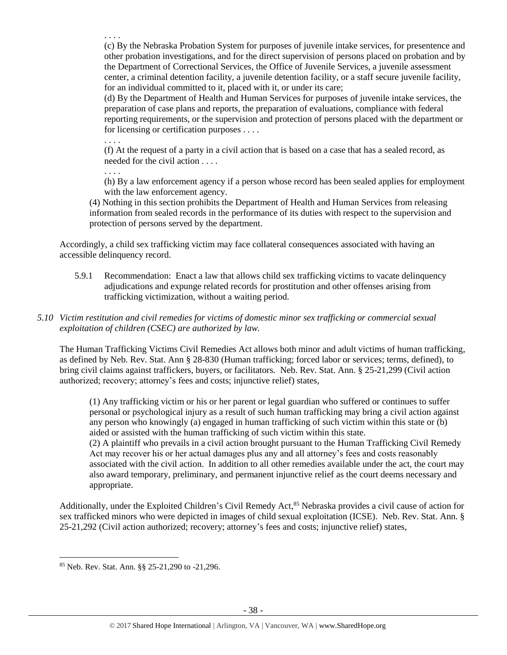. . . . (c) By the Nebraska Probation System for purposes of juvenile intake services, for presentence and other probation investigations, and for the direct supervision of persons placed on probation and by the Department of Correctional Services, the Office of Juvenile Services, a juvenile assessment center, a criminal detention facility, a juvenile detention facility, or a staff secure juvenile facility, for an individual committed to it, placed with it, or under its care;

(d) By the Department of Health and Human Services for purposes of juvenile intake services, the preparation of case plans and reports, the preparation of evaluations, compliance with federal reporting requirements, or the supervision and protection of persons placed with the department or for licensing or certification purposes . . . .

. . . .

(f) At the request of a party in a civil action that is based on a case that has a sealed record, as needed for the civil action . . . .

. . . .

(h) By a law enforcement agency if a person whose record has been sealed applies for employment with the law enforcement agency.

(4) Nothing in this section prohibits the Department of Health and Human Services from releasing information from sealed records in the performance of its duties with respect to the supervision and protection of persons served by the department.

Accordingly, a child sex trafficking victim may face collateral consequences associated with having an accessible delinquency record.

5.9.1 Recommendation: Enact a law that allows child sex trafficking victims to vacate delinquency adjudications and expunge related records for prostitution and other offenses arising from trafficking victimization, without a waiting period.

# *5.10 Victim restitution and civil remedies for victims of domestic minor sex trafficking or commercial sexual exploitation of children (CSEC) are authorized by law.*

The Human Trafficking Victims Civil Remedies Act allows both minor and adult victims of human trafficking, as defined by Neb. Rev. Stat. Ann § 28-830 (Human trafficking; forced labor or services; terms, defined), to bring civil claims against traffickers, buyers, or facilitators. Neb. Rev. Stat. Ann. § 25-21,299 (Civil action authorized; recovery; attorney's fees and costs; injunctive relief) states,

(1) Any trafficking victim or his or her parent or legal guardian who suffered or continues to suffer personal or psychological injury as a result of such human trafficking may bring a civil action against any person who knowingly (a) engaged in human trafficking of such victim within this state or (b) aided or assisted with the human trafficking of such victim within this state.

(2) A plaintiff who prevails in a civil action brought pursuant to the Human Trafficking Civil Remedy Act may recover his or her actual damages plus any and all attorney's fees and costs reasonably associated with the civil action. In addition to all other remedies available under the act, the court may also award temporary, preliminary, and permanent injunctive relief as the court deems necessary and appropriate.

Additionally, under the Exploited Children's Civil Remedy Act,<sup>85</sup> Nebraska provides a civil cause of action for sex trafficked minors who were depicted in images of child sexual exploitation (ICSE). Neb. Rev. Stat. Ann. § 25-21,292 (Civil action authorized; recovery; attorney's fees and costs; injunctive relief) states,

 $\overline{a}$ <sup>85</sup> Neb. Rev. Stat. Ann. §§ 25-21,290 to -21,296.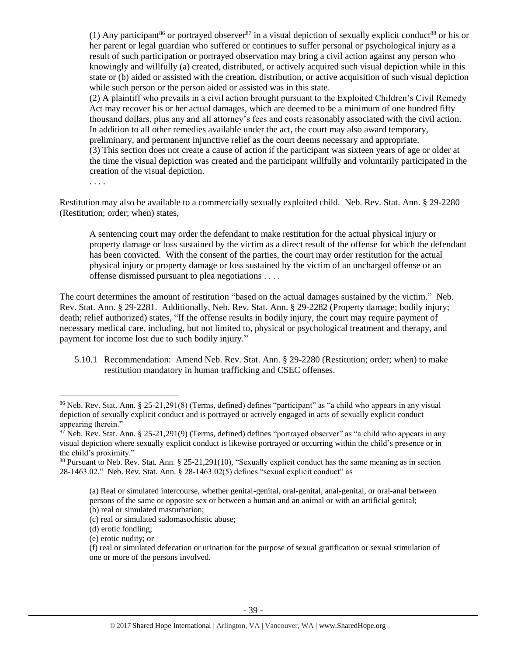(1) Any participant<sup>86</sup> or portrayed observer<sup>87</sup> in a visual depiction of sexually explicit conduct<sup>88</sup> or his or her parent or legal guardian who suffered or continues to suffer personal or psychological injury as a result of such participation or portrayed observation may bring a civil action against any person who knowingly and willfully (a) created, distributed, or actively acquired such visual depiction while in this state or (b) aided or assisted with the creation, distribution, or active acquisition of such visual depiction while such person or the person aided or assisted was in this state.

(2) A plaintiff who prevails in a civil action brought pursuant to the Exploited Children's Civil Remedy Act may recover his or her actual damages, which are deemed to be a minimum of one hundred fifty thousand dollars, plus any and all attorney's fees and costs reasonably associated with the civil action. In addition to all other remedies available under the act, the court may also award temporary, preliminary, and permanent injunctive relief as the court deems necessary and appropriate.

(3) This section does not create a cause of action if the participant was sixteen years of age or older at the time the visual depiction was created and the participant willfully and voluntarily participated in the creation of the visual depiction.

. . . .

 $\overline{\phantom{a}}$ 

Restitution may also be available to a commercially sexually exploited child. Neb. Rev. Stat. Ann. § 29-2280 (Restitution; order; when) states,

A sentencing court may order the defendant to make restitution for the actual physical injury or property damage or loss sustained by the victim as a direct result of the offense for which the defendant has been convicted. With the consent of the parties, the court may order restitution for the actual physical injury or property damage or loss sustained by the victim of an uncharged offense or an offense dismissed pursuant to plea negotiations . . . .

The court determines the amount of restitution "based on the actual damages sustained by the victim." Neb. Rev. Stat. Ann. § 29-2281. Additionally, Neb. Rev. Stat. Ann. § 29-2282 (Property damage; bodily injury; death; relief authorized) states, "If the offense results in bodily injury, the court may require payment of necessary medical care, including, but not limited to, physical or psychological treatment and therapy, and payment for income lost due to such bodily injury."

5.10.1 Recommendation: Amend Neb. Rev. Stat. Ann. § 29-2280 (Restitution; order; when) to make restitution mandatory in human trafficking and CSEC offenses.

<sup>86</sup> Neb. Rev. Stat. Ann. § 25-21,291(8) (Terms, defined) defines "participant" as "a child who appears in any visual depiction of sexually explicit conduct and is portrayed or actively engaged in acts of sexually explicit conduct appearing therein."

 $8\overline{7}$  Neb. Rev. Stat. Ann. § 25-21,291(9) (Terms, defined) defines "portrayed observer" as "a child who appears in any visual depiction where sexually explicit conduct is likewise portrayed or occurring within the child's presence or in the child's proximity."

<sup>88</sup> Pursuant to Neb. Rev. Stat. Ann. § 25-21,291(10), "Sexually explicit conduct has the same meaning as in section 28-1463.02." Neb. Rev. Stat. Ann. § 28-1463.02(5) defines "sexual explicit conduct" as

<sup>(</sup>a) Real or simulated intercourse, whether genital-genital, oral-genital, anal-genital, or oral-anal between persons of the same or opposite sex or between a human and an animal or with an artificial genital; (b) real or simulated masturbation;

<sup>(</sup>c) real or simulated sadomasochistic abuse;

<sup>(</sup>d) erotic fondling;

<sup>(</sup>e) erotic nudity; or

<sup>(</sup>f) real or simulated defecation or urination for the purpose of sexual gratification or sexual stimulation of one or more of the persons involved.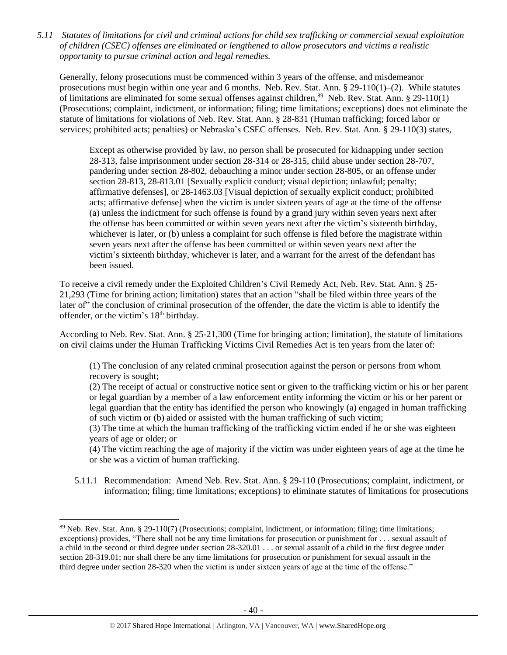*5.11 Statutes of limitations for civil and criminal actions for child sex trafficking or commercial sexual exploitation of children (CSEC) offenses are eliminated or lengthened to allow prosecutors and victims a realistic opportunity to pursue criminal action and legal remedies.*

Generally, felony prosecutions must be commenced within 3 years of the offense, and misdemeanor prosecutions must begin within one year and 6 months. Neb. Rev. Stat. Ann. § 29-110(1)–(2). While statutes of limitations are eliminated for some sexual offenses against children, $89$  Neb. Rev. Stat. Ann. § 29-110(1) (Prosecutions; complaint, indictment, or information; filing; time limitations; exceptions) does not eliminate the statute of limitations for violations of Neb. Rev. Stat. Ann. § 28-831 (Human trafficking; forced labor or services; prohibited acts; penalties) or Nebraska's CSEC offenses. Neb. Rev. Stat. Ann. § 29-110(3) states,

Except as otherwise provided by law, no person shall be prosecuted for kidnapping under section 28-313, false imprisonment under section 28-314 or 28-315, child abuse under section 28-707, pandering under section 28-802, debauching a minor under section 28-805, or an offense under section 28-813, 28-813.01 [Sexually explicit conduct; visual depiction; unlawful; penalty; affirmative defenses], or 28-1463.03 [Visual depiction of sexually explicit conduct; prohibited acts; affirmative defense] when the victim is under sixteen years of age at the time of the offense (a) unless the indictment for such offense is found by a grand jury within seven years next after the offense has been committed or within seven years next after the victim's sixteenth birthday, whichever is later, or (b) unless a complaint for such offense is filed before the magistrate within seven years next after the offense has been committed or within seven years next after the victim's sixteenth birthday, whichever is later, and a warrant for the arrest of the defendant has been issued.

To receive a civil remedy under the Exploited Children's Civil Remedy Act, Neb. Rev. Stat. Ann. § 25- 21,293 (Time for brining action; limitation) states that an action "shall be filed within three years of the later of" the conclusion of criminal prosecution of the offender, the date the victim is able to identify the offender, or the victim's 18<sup>th</sup> birthday.

According to Neb. Rev. Stat. Ann. § 25-21,300 (Time for bringing action; limitation), the statute of limitations on civil claims under the Human Trafficking Victims Civil Remedies Act is ten years from the later of:

(1) The conclusion of any related criminal prosecution against the person or persons from whom recovery is sought;

(2) The receipt of actual or constructive notice sent or given to the trafficking victim or his or her parent or legal guardian by a member of a law enforcement entity informing the victim or his or her parent or legal guardian that the entity has identified the person who knowingly (a) engaged in human trafficking of such victim or (b) aided or assisted with the human trafficking of such victim;

(3) The time at which the human trafficking of the trafficking victim ended if he or she was eighteen years of age or older; or

(4) The victim reaching the age of majority if the victim was under eighteen years of age at the time he or she was a victim of human trafficking.

5.11.1 Recommendation: Amend Neb. Rev. Stat. Ann. § 29-110 (Prosecutions; complaint, indictment, or information; filing; time limitations; exceptions) to eliminate statutes of limitations for prosecutions

 $\overline{\phantom{a}}$ 

<sup>89</sup> Neb. Rev. Stat. Ann. § 29-110(7) (Prosecutions; complaint, indictment, or information; filing; time limitations; exceptions) provides, "There shall not be any time limitations for prosecution or punishment for . . . sexual assault of a child in the second or third degree under section 28-320.01 . . . or sexual assault of a child in the first degree under section 28-319.01; nor shall there be any time limitations for prosecution or punishment for sexual assault in the third degree under section 28-320 when the victim is under sixteen years of age at the time of the offense."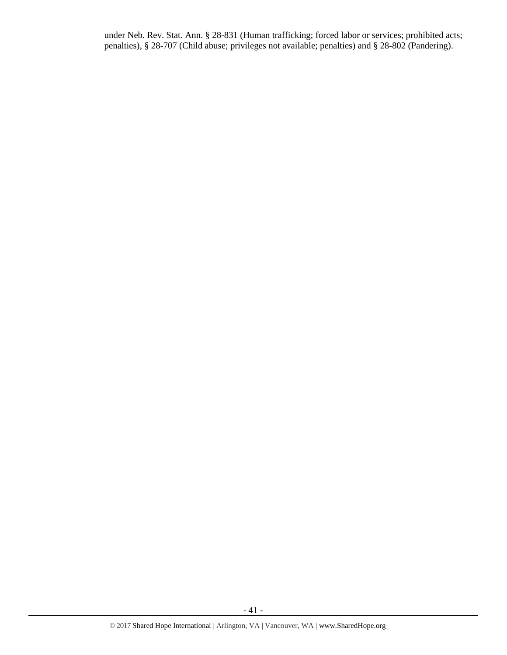under Neb. Rev. Stat. Ann. § 28-831 (Human trafficking; forced labor or services; prohibited acts; penalties), § 28-707 (Child abuse; privileges not available; penalties) and § 28-802 (Pandering).

- 41 -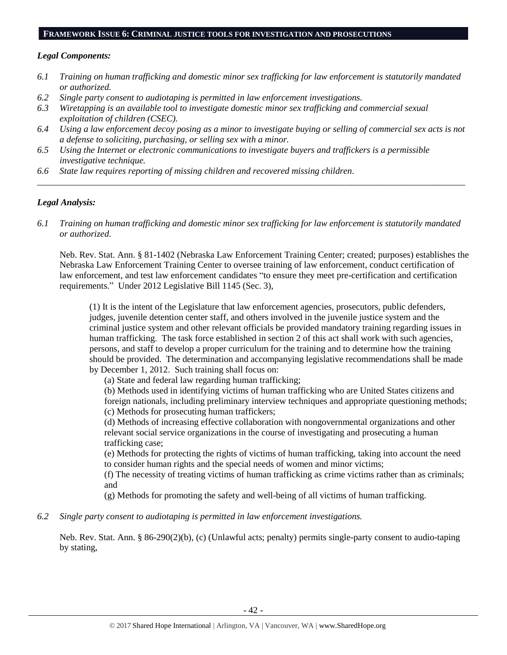#### **FRAMEWORK ISSUE 6: CRIMINAL JUSTICE TOOLS FOR INVESTIGATION AND PROSECUTIONS**

### *Legal Components:*

- *6.1 Training on human trafficking and domestic minor sex trafficking for law enforcement is statutorily mandated or authorized.*
- *6.2 Single party consent to audiotaping is permitted in law enforcement investigations.*
- *6.3 Wiretapping is an available tool to investigate domestic minor sex trafficking and commercial sexual exploitation of children (CSEC).*
- *6.4 Using a law enforcement decoy posing as a minor to investigate buying or selling of commercial sex acts is not a defense to soliciting, purchasing, or selling sex with a minor.*

*\_\_\_\_\_\_\_\_\_\_\_\_\_\_\_\_\_\_\_\_\_\_\_\_\_\_\_\_\_\_\_\_\_\_\_\_\_\_\_\_\_\_\_\_\_\_\_\_\_\_\_\_\_\_\_\_\_\_\_\_\_\_\_\_\_\_\_\_\_\_\_\_\_\_\_\_\_\_\_\_\_\_\_\_\_\_\_\_\_\_\_\_\_\_*

- *6.5 Using the Internet or electronic communications to investigate buyers and traffickers is a permissible investigative technique.*
- *6.6 State law requires reporting of missing children and recovered missing children.*

# *Legal Analysis:*

*6.1 Training on human trafficking and domestic minor sex trafficking for law enforcement is statutorily mandated or authorized.*

Neb. Rev. Stat. Ann. § 81-1402 (Nebraska Law Enforcement Training Center; created; purposes) establishes the Nebraska Law Enforcement Training Center to oversee training of law enforcement, conduct certification of law enforcement, and test law enforcement candidates "to ensure they meet pre-certification and certification requirements." Under 2012 Legislative Bill 1145 (Sec. 3),

(1) It is the intent of the Legislature that law enforcement agencies, prosecutors, public defenders, judges, juvenile detention center staff, and others involved in the juvenile justice system and the criminal justice system and other relevant officials be provided mandatory training regarding issues in human trafficking. The task force established in section 2 of this act shall work with such agencies, persons, and staff to develop a proper curriculum for the training and to determine how the training should be provided. The determination and accompanying legislative recommendations shall be made by December 1, 2012. Such training shall focus on:

(a) State and federal law regarding human trafficking;

(b) Methods used in identifying victims of human trafficking who are United States citizens and foreign nationals, including preliminary interview techniques and appropriate questioning methods; (c) Methods for prosecuting human traffickers;

(d) Methods of increasing effective collaboration with nongovernmental organizations and other relevant social service organizations in the course of investigating and prosecuting a human trafficking case;

(e) Methods for protecting the rights of victims of human trafficking, taking into account the need to consider human rights and the special needs of women and minor victims;

(f) The necessity of treating victims of human trafficking as crime victims rather than as criminals; and

(g) Methods for promoting the safety and well-being of all victims of human trafficking.

*6.2 Single party consent to audiotaping is permitted in law enforcement investigations.*

Neb. Rev. Stat. Ann. § 86-290(2)(b), (c) (Unlawful acts; penalty) permits single-party consent to audio-taping by stating,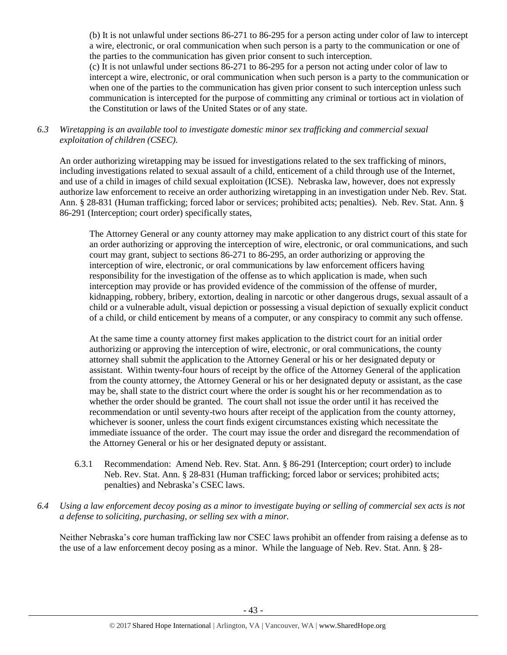(b) It is not unlawful under sections 86-271 to 86-295 for a person acting under color of law to intercept a wire, electronic, or oral communication when such person is a party to the communication or one of the parties to the communication has given prior consent to such interception.

(c) It is not unlawful under sections 86-271 to 86-295 for a person not acting under color of law to intercept a wire, electronic, or oral communication when such person is a party to the communication or when one of the parties to the communication has given prior consent to such interception unless such communication is intercepted for the purpose of committing any criminal or tortious act in violation of the Constitution or laws of the United States or of any state.

*6.3 Wiretapping is an available tool to investigate domestic minor sex trafficking and commercial sexual exploitation of children (CSEC).* 

An order authorizing wiretapping may be issued for investigations related to the sex trafficking of minors, including investigations related to sexual assault of a child, enticement of a child through use of the Internet, and use of a child in images of child sexual exploitation (ICSE). Nebraska law, however, does not expressly authorize law enforcement to receive an order authorizing wiretapping in an investigation under Neb. Rev. Stat. Ann. § 28-831 (Human trafficking; forced labor or services; prohibited acts; penalties). Neb. Rev. Stat. Ann. § 86-291 (Interception; court order) specifically states,

The Attorney General or any county attorney may make application to any district court of this state for an order authorizing or approving the interception of wire, electronic, or oral communications, and such court may grant, subject to sections 86-271 to 86-295, an order authorizing or approving the interception of wire, electronic, or oral communications by law enforcement officers having responsibility for the investigation of the offense as to which application is made, when such interception may provide or has provided evidence of the commission of the offense of murder, kidnapping, robbery, bribery, extortion, dealing in narcotic or other dangerous drugs, sexual assault of a child or a vulnerable adult, visual depiction or possessing a visual depiction of sexually explicit conduct of a child, or child enticement by means of a computer, or any conspiracy to commit any such offense.

At the same time a county attorney first makes application to the district court for an initial order authorizing or approving the interception of wire, electronic, or oral communications, the county attorney shall submit the application to the Attorney General or his or her designated deputy or assistant. Within twenty-four hours of receipt by the office of the Attorney General of the application from the county attorney, the Attorney General or his or her designated deputy or assistant, as the case may be, shall state to the district court where the order is sought his or her recommendation as to whether the order should be granted. The court shall not issue the order until it has received the recommendation or until seventy-two hours after receipt of the application from the county attorney, whichever is sooner, unless the court finds exigent circumstances existing which necessitate the immediate issuance of the order. The court may issue the order and disregard the recommendation of the Attorney General or his or her designated deputy or assistant.

- 6.3.1 Recommendation: Amend Neb. Rev. Stat. Ann. § 86-291 (Interception; court order) to include Neb. Rev. Stat. Ann. § 28-831 (Human trafficking; forced labor or services; prohibited acts; penalties) and Nebraska's CSEC laws.
- *6.4 Using a law enforcement decoy posing as a minor to investigate buying or selling of commercial sex acts is not a defense to soliciting, purchasing, or selling sex with a minor.*

Neither Nebraska's core human trafficking law nor CSEC laws prohibit an offender from raising a defense as to the use of a law enforcement decoy posing as a minor. While the language of Neb. Rev. Stat. Ann. § 28-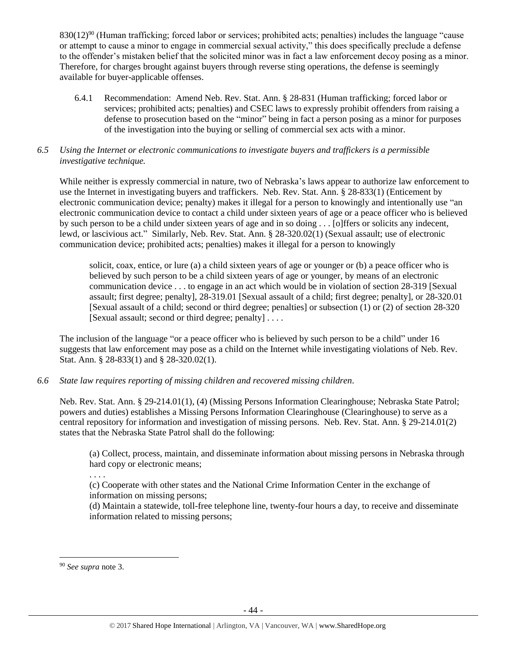830(12)<sup>90</sup> (Human trafficking; forced labor or services; prohibited acts; penalties) includes the language "cause or attempt to cause a minor to engage in commercial sexual activity," this does specifically preclude a defense to the offender's mistaken belief that the solicited minor was in fact a law enforcement decoy posing as a minor. Therefore, for charges brought against buyers through reverse sting operations, the defense is seemingly available for buyer-applicable offenses.

6.4.1 Recommendation: Amend Neb. Rev. Stat. Ann. § 28-831 (Human trafficking; forced labor or services; prohibited acts; penalties) and CSEC laws to expressly prohibit offenders from raising a defense to prosecution based on the "minor" being in fact a person posing as a minor for purposes of the investigation into the buying or selling of commercial sex acts with a minor.

# *6.5 Using the Internet or electronic communications to investigate buyers and traffickers is a permissible investigative technique.*

While neither is expressly commercial in nature, two of Nebraska's laws appear to authorize law enforcement to use the Internet in investigating buyers and traffickers. Neb. Rev. Stat. Ann. § 28-833(1) (Enticement by electronic communication device; penalty) makes it illegal for a person to knowingly and intentionally use "an electronic communication device to contact a child under sixteen years of age or a peace officer who is believed by such person to be a child under sixteen years of age and in so doing . . . [o]ffers or solicits any indecent, lewd, or lascivious act." Similarly, Neb. Rev. Stat. Ann. § 28-320.02(1) (Sexual assault; use of electronic communication device; prohibited acts; penalties) makes it illegal for a person to knowingly

solicit, coax, entice, or lure (a) a child sixteen years of age or younger or (b) a peace officer who is believed by such person to be a child sixteen years of age or younger, by means of an electronic communication device . . . to engage in an act which would be in violation of section [28-319](http://nebraskalegislature.gov/laws/statutes.php?statute=28-319) [Sexual assault; first degree; penalty], [28-319.01](http://nebraskalegislature.gov/laws/statutes.php?statute=28-319.01) [Sexual assault of a child; first degree; penalty], or [28-320.01](http://nebraskalegislature.gov/laws/statutes.php?statute=28-320.01) [Sexual assault of a child; second or third degree; penalties] or subsection (1) or (2) of section [28-320](http://nebraskalegislature.gov/laws/statutes.php?statute=28-320) [Sexual assault; second or third degree; penalty] . . . .

The inclusion of the language "or a peace officer who is believed by such person to be a child" under 16 suggests that law enforcement may pose as a child on the Internet while investigating violations of Neb. Rev. Stat. Ann. § 28-833(1) and § 28-320.02(1).

# *6.6 State law requires reporting of missing children and recovered missing children.*

Neb. Rev. Stat. Ann. § 29-214.01(1), (4) (Missing Persons Information Clearinghouse; Nebraska State Patrol; powers and duties) establishes a Missing Persons Information Clearinghouse (Clearinghouse) to serve as a central repository for information and investigation of missing persons. Neb. Rev. Stat. Ann. § 29-214.01(2) states that the Nebraska State Patrol shall do the following:

(a) Collect, process, maintain, and disseminate information about missing persons in Nebraska through hard copy or electronic means;

(c) Cooperate with other states and the National Crime Information Center in the exchange of information on missing persons;

(d) Maintain a statewide, toll-free telephone line, twenty-four hours a day, to receive and disseminate information related to missing persons;

 $\overline{a}$ 

. . . .

<sup>90</sup> *See supra* note [3.](#page-1-0)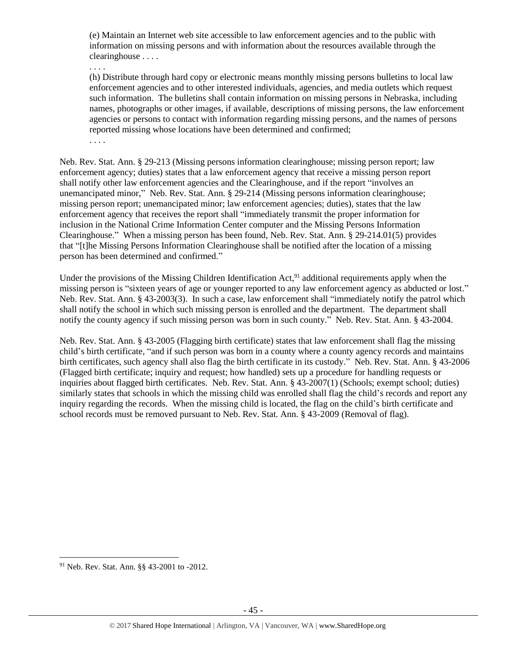(e) Maintain an Internet web site accessible to law enforcement agencies and to the public with information on missing persons and with information about the resources available through the clearinghouse . . . .

. . . .

(h) Distribute through hard copy or electronic means monthly missing persons bulletins to local law enforcement agencies and to other interested individuals, agencies, and media outlets which request such information. The bulletins shall contain information on missing persons in Nebraska, including names, photographs or other images, if available, descriptions of missing persons, the law enforcement agencies or persons to contact with information regarding missing persons, and the names of persons reported missing whose locations have been determined and confirmed;

. . . .

Neb. Rev. Stat. Ann. § 29-213 (Missing persons information clearinghouse; missing person report; law enforcement agency; duties) states that a law enforcement agency that receive a missing person report shall notify other law enforcement agencies and the Clearinghouse, and if the report "involves an unemancipated minor," Neb. Rev. Stat. Ann. § 29-214 (Missing persons information clearinghouse; missing person report; unemancipated minor; law enforcement agencies; duties), states that the law enforcement agency that receives the report shall "immediately transmit the proper information for inclusion in the National Crime Information Center computer and the Missing Persons Information Clearinghouse." When a missing person has been found, Neb. Rev. Stat. Ann. § 29-214.01(5) provides that "[t]he Missing Persons Information Clearinghouse shall be notified after the location of a missing person has been determined and confirmed."

Under the provisions of the Missing Children Identification Act,<sup>91</sup> additional requirements apply when the missing person is "sixteen years of age or younger reported to any law enforcement agency as abducted or lost." Neb. Rev. Stat. Ann. § 43-2003(3). In such a case, law enforcement shall "immediately notify the patrol which shall notify the school in which such missing person is enrolled and the department. The department shall notify the county agency if such missing person was born in such county." Neb. Rev. Stat. Ann. § 43-2004.

Neb. Rev. Stat. Ann. § 43-2005 (Flagging birth certificate) states that law enforcement shall flag the missing child's birth certificate, "and if such person was born in a county where a county agency records and maintains birth certificates, such agency shall also flag the birth certificate in its custody." Neb. Rev. Stat. Ann. § 43-2006 (Flagged birth certificate; inquiry and request; how handled) sets up a procedure for handling requests or inquiries about flagged birth certificates. Neb. Rev. Stat. Ann. § 43-2007(1) (Schools; exempt school; duties) similarly states that schools in which the missing child was enrolled shall flag the child's records and report any inquiry regarding the records. When the missing child is located, the flag on the child's birth certificate and school records must be removed pursuant to Neb. Rev. Stat. Ann. § 43-2009 (Removal of flag).

 $\overline{a}$ 

<sup>91</sup> Neb. Rev. Stat. Ann. §§ 43-2001 to -2012.